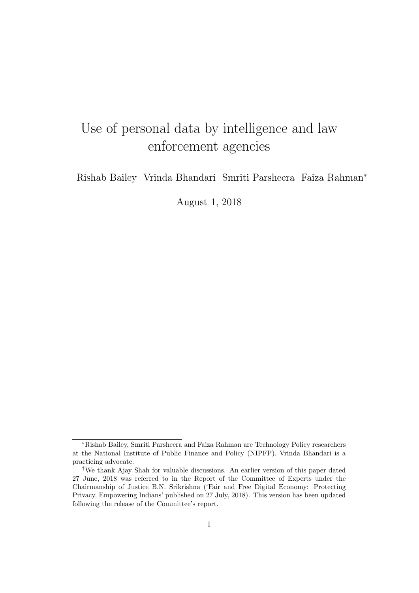# Use of personal data by intelligence and law enforcement agencies

Rishab Bailey Vrinda Bhandari Smriti Parsheera Faiza Rahman∗†

August 1, 2018

<sup>∗</sup>Rishab Bailey, Smriti Parsheera and Faiza Rahman are Technology Policy researchers at the National Institute of Public Finance and Policy (NIPFP). Vrinda Bhandari is a practicing advocate.

<sup>†</sup>We thank Ajay Shah for valuable discussions. An earlier version of this paper dated 27 June, 2018 was referred to in the Report of the Committee of Experts under the Chairmanship of Justice B.N. Srikrishna ('Fair and Free Digital Economy: Protecting Privacy, Empowering Indians' published on 27 July, 2018). This version has been updated following the release of the Committee's report.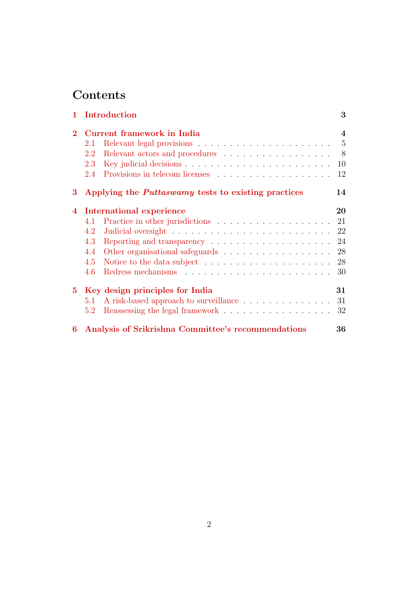# Contents

| $\mathbf{1}$   | Introduction                                               | 3              |
|----------------|------------------------------------------------------------|----------------|
| $\mathbf{2}$   | Current framework in India                                 | $\overline{4}$ |
|                | 2.1                                                        | $\overline{5}$ |
|                | Relevant actors and procedures<br>2.2                      | - 8            |
|                | 2.3                                                        | 10             |
|                | 2.4                                                        | 12             |
| 3              | Applying the <i>Puttaswamy</i> tests to existing practices | 14             |
| $\overline{4}$ | <b>International experience</b>                            | 20             |
|                | 4.1                                                        | 21             |
|                | 4.2                                                        |                |
|                | 4.3                                                        | 24             |
|                | 4.4                                                        | 28             |
|                | 4.5                                                        | 28             |
|                | 4.6                                                        | 30             |
| $5^{\circ}$    | Key design principles for India                            | 31             |
|                | A risk-based approach to surveillance<br>5.1               | 31             |
|                | 5.2                                                        | 32             |
| 6              | Analysis of Srikrishna Committee's recommendations         | 36             |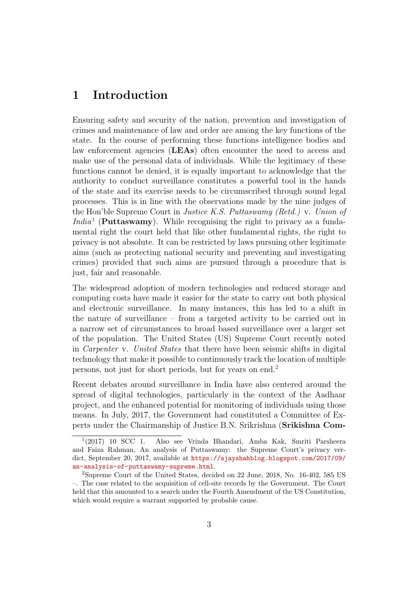### <span id="page-2-0"></span>1 Introduction

Ensuring safety and security of the nation, prevention and investigation of crimes and maintenance of law and order are among the key functions of the state. In the course of performing these functions intelligence bodies and law enforcement agencies (LEAs) often encounter the need to access and make use of the personal data of individuals. While the legitimacy of these functions cannot be denied, it is equally important to acknowledge that the authority to conduct surveillance constitutes a powerful tool in the hands of the state and its exercise needs to be circumscribed through sound legal processes. This is in line with the observations made by the nine judges of the Hon'ble Supreme Court in Justice K.S. Puttaswamy (Retd.) v. Union of  $India<sup>1</sup>$  $India<sup>1</sup>$  $India<sup>1</sup>$  (**Puttaswamy**). While recognising the right to privacy as a fundamental right the court held that like other fundamental rights, the right to privacy is not absolute. It can be restricted by laws pursuing other legitimate aims (such as protecting national security and preventing and investigating crimes) provided that such aims are pursued through a procedure that is just, fair and reasonable.

The widespread adoption of modern technologies and reduced storage and computing costs have made it easier for the state to carry out both physical and electronic surveillance. In many instances, this has led to a shift in the nature of surveillance – from a targeted activity to be carried out in a narrow set of circumstances to broad based surveillance over a larger set of the population. The United States (US) Supreme Court recently noted in Carpenter v. United States that there have been seismic shifts in digital technology that make it possible to continuously track the location of multiple persons, not just for short periods, but for years on end.[2](#page-2-2)

Recent debates around surveillance in India have also centered around the spread of digital technologies, particularly in the context of the Aadhaar project, and the enhanced potential for monitoring of individuals using those means. In July, 2017, the Government had constituted a Committee of Experts under the Chairmanship of Justice B.N. Srikrishna (Srikishna Com-

<span id="page-2-1"></span> $1(2017)$  10 SCC 1. (2017) 10 SCC 1. Also see Vrinda Bhandari, Amba Kak, Smriti Parsheera and Faiza Rahman, An analysis of Puttaswamy: the Supreme Court's privacy verdict, September 20, 2017, available at [https://ajayshahblog.blogspot.com/2017/09/](https://ajayshahblog.blogspot.com/2017/09/an-analysis-of-puttaswamy-supreme.html) [an-analysis-of-puttaswamy-supreme.html](https://ajayshahblog.blogspot.com/2017/09/an-analysis-of-puttaswamy-supreme.html).

<span id="page-2-2"></span><sup>2</sup>Supreme Court of the United States, decided on 22 June, 2018, No. 16-402, 585 US –. The case related to the acquisition of cell-site records by the Government. The Court held that this amounted to a search under the Fourth Amendment of the US Constitution, which would require a warrant supported by probable cause.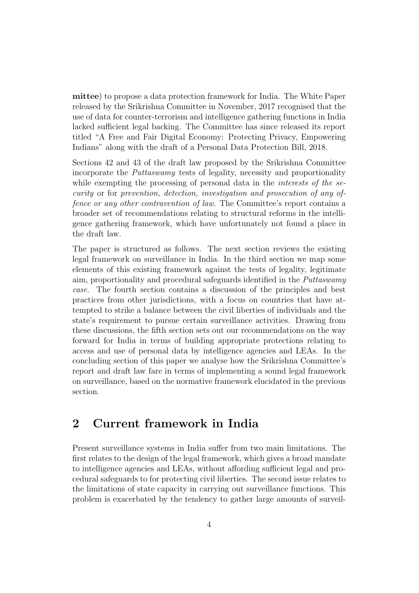mittee) to propose a data protection framework for India. The White Paper released by the Srikrishna Committee in November, 2017 recognised that the use of data for counter-terrorism and intelligence gathering functions in India lacked sufficient legal backing. The Committee has since released its report titled "A Free and Fair Digital Economy: Protecting Privacy, Empowering Indians" along with the draft of a Personal Data Protection Bill, 2018.

Sections 42 and 43 of the draft law proposed by the Srikrishna Committee incorporate the Puttaswamy tests of legality, necessity and proportionality while exempting the processing of personal data in the *interests of the se*curity or for prevention, detection, investigation and prosecution of any offence or any other contravention of law. The Committee's report contains a broader set of recommendations relating to structural reforms in the intelligence gathering framework, which have unfortunately not found a place in the draft law.

The paper is structured as follows. The next section reviews the existing legal framework on surveillance in India. In the third section we map some elements of this existing framework against the tests of legality, legitimate aim, proportionality and procedural safeguards identified in the Puttaswamy case. The fourth section contains a discussion of the principles and best practices from other jurisdictions, with a focus on countries that have attempted to strike a balance between the civil liberties of individuals and the state's requirement to pursue certain surveillance activities. Drawing from these discussions, the fifth section sets out our recommendations on the way forward for India in terms of building appropriate protections relating to access and use of personal data by intelligence agencies and LEAs. In the concluding section of this paper we analyse how the Srikrishna Committee's report and draft law fare in terms of implementing a sound legal framework on surveillance, based on the normative framework elucidated in the previous section.

### <span id="page-3-0"></span>2 Current framework in India

Present surveillance systems in India suffer from two main limitations. The first relates to the design of the legal framework, which gives a broad mandate to intelligence agencies and LEAs, without affording sufficient legal and procedural safeguards to for protecting civil liberties. The second issue relates to the limitations of state capacity in carrying out surveillance functions. This problem is exacerbated by the tendency to gather large amounts of surveil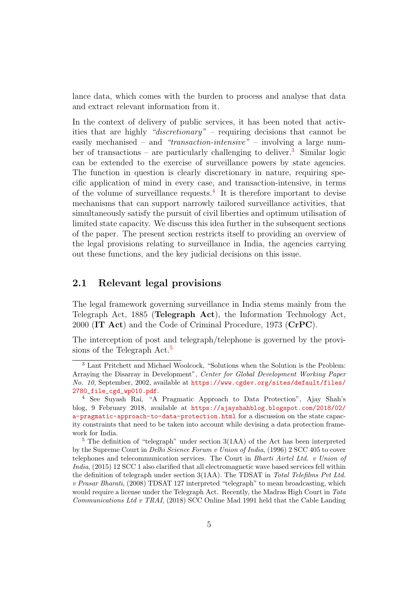lance data, which comes with the burden to process and analyse that data and extract relevant information from it.

In the context of delivery of public services, it has been noted that activities that are highly "discretionary" – requiring decisions that cannot be easily mechanised – and "transaction-intensive" – involving a large num-ber of transactions – are particularly challenging to deliver.<sup>[3](#page-4-1)</sup> Similar logic can be extended to the exercise of surveillance powers by state agencies. The function in question is clearly discretionary in nature, requiring specific application of mind in every case, and transaction-intensive, in terms of the volume of surveillance requests.<sup>[4](#page-4-2)</sup> It is therefore important to devise mechanisms that can support narrowly tailored surveillance activities, that simultaneously satisfy the pursuit of civil liberties and optimum utilisation of limited state capacity. We discuss this idea further in the subsequent sections of the paper. The present section restricts itself to providing an overview of the legal provisions relating to surveillance in India, the agencies carrying out these functions, and the key judicial decisions on this issue.

#### <span id="page-4-0"></span>2.1 Relevant legal provisions

The legal framework governing surveillance in India stems mainly from the Telegraph Act, 1885 (Telegraph Act), the Information Technology Act, 2000 (IT Act) and the Code of Criminal Procedure, 1973 (CrPC).

The interception of post and telegraph/telephone is governed by the provi-sions of the Telegraph Act.<sup>[5](#page-4-3)</sup>

<span id="page-4-1"></span><sup>3</sup> Lant Pritchett and Michael Woolcock, "Solutions when the Solution is the Problem: Arraying the Disarray in Development", Center for Global Development Working Paper No. 10, September, 2002, available at [https://www.cgdev.org/sites/default/files/](https://www.cgdev.org/sites/default/files/2780_file_cgd_wp010.pdf) [2780\\_file\\_cgd\\_wp010.pdf](https://www.cgdev.org/sites/default/files/2780_file_cgd_wp010.pdf).

<span id="page-4-2"></span><sup>4</sup> See Suyash Rai, "A Pragmatic Approach to Data Protection", Ajay Shah's blog, 9 February 2018, available at [https://ajayshahblog.blogspot.com/2018/02/](https://ajayshahblog.blogspot.com/2018/02/a-pragmatic-approach-to-data-protection.html) [a-pragmatic-approach-to-data-protection.html](https://ajayshahblog.blogspot.com/2018/02/a-pragmatic-approach-to-data-protection.html) for a discussion on the state capacity constraints that need to be taken into account while devising a data protection framework for India.

<span id="page-4-3"></span><sup>5</sup> The definition of "telegraph" under section 3(1AA) of the Act has been interpreted by the Supreme Court in Delhi Science Forum v Union of India, (1996) 2 SCC 405 to cover telephones and telecommunication services. The Court in Bharti Airtel Ltd. v Union of India, (2015) 12 SCC 1 also clarified that all electromagnetic wave based services fell within the definition of telegraph under section 3(1AA). The TDSAT in Total Telefilms Pvt Ltd. v Prasar Bharati, (2008) TDSAT 127 interpreted "telegraph" to mean broadcasting, which would require a license under the Telegraph Act. Recently, the Madras High Court in Tata Communications Ltd v TRAI, (2018) SCC Online Mad 1991 held that the Cable Landing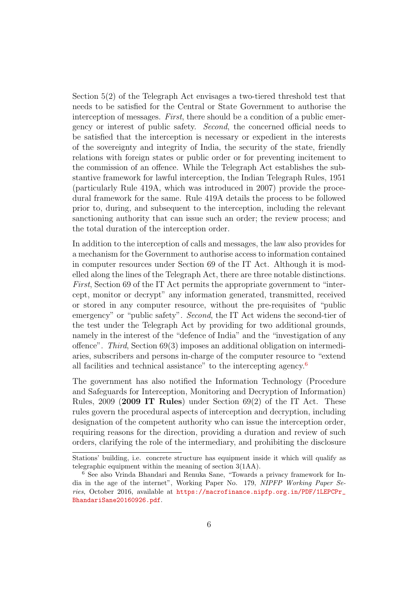Section 5(2) of the Telegraph Act envisages a two-tiered threshold test that needs to be satisfied for the Central or State Government to authorise the interception of messages. First, there should be a condition of a public emergency or interest of public safety. Second, the concerned official needs to be satisfied that the interception is necessary or expedient in the interests of the sovereignty and integrity of India, the security of the state, friendly relations with foreign states or public order or for preventing incitement to the commission of an offence. While the Telegraph Act establishes the substantive framework for lawful interception, the Indian Telegraph Rules, 1951 (particularly Rule 419A, which was introduced in 2007) provide the procedural framework for the same. Rule 419A details the process to be followed prior to, during, and subsequent to the interception, including the relevant sanctioning authority that can issue such an order; the review process; and the total duration of the interception order.

In addition to the interception of calls and messages, the law also provides for a mechanism for the Government to authorise access to information contained in computer resources under Section 69 of the IT Act. Although it is modelled along the lines of the Telegraph Act, there are three notable distinctions. First, Section 69 of the IT Act permits the appropriate government to "intercept, monitor or decrypt" any information generated, transmitted, received or stored in any computer resource, without the pre-requisites of "public emergency" or "public safety". Second, the IT Act widens the second-tier of the test under the Telegraph Act by providing for two additional grounds, namely in the interest of the "defence of India" and the "investigation of any offence". Third, Section 69(3) imposes an additional obligation on intermediaries, subscribers and persons in-charge of the computer resource to "extend all facilities and technical assistance" to the intercepting agency. $6$ 

The government has also notified the Information Technology (Procedure and Safeguards for Interception, Monitoring and Decryption of Information) Rules, 2009 (2009 IT Rules) under Section  $69(2)$  of the IT Act. These rules govern the procedural aspects of interception and decryption, including designation of the competent authority who can issue the interception order, requiring reasons for the direction, providing a duration and review of such orders, clarifying the role of the intermediary, and prohibiting the disclosure

Stations' building, i.e. concrete structure has equipment inside it which will qualify as telegraphic equipment within the meaning of section 3(1AA).

<span id="page-5-0"></span><sup>6</sup> See also Vrinda Bhandari and Renuka Sane, "Towards a privacy framework for India in the age of the internet", Working Paper No. 179, NIPFP Working Paper Series, October 2016, available at [https://macrofinance.nipfp.org.in/PDF/1LEPCPr\\_](https://macrofinance.nipfp.org.in/PDF/1LEPCPr_BhandariSane20160926.pdf) [BhandariSane20160926.pdf](https://macrofinance.nipfp.org.in/PDF/1LEPCPr_BhandariSane20160926.pdf).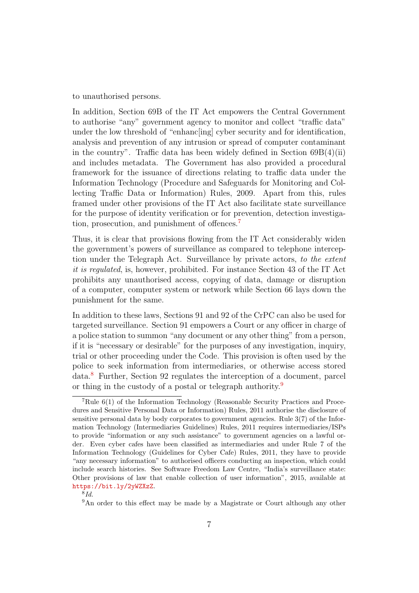to unauthorised persons.

In addition, Section 69B of the IT Act empowers the Central Government to authorise "any" government agency to monitor and collect "traffic data" under the low threshold of "enhanc[ing] cyber security and for identification, analysis and prevention of any intrusion or spread of computer contaminant in the country". Traffic data has been widely defined in Section  $69B(4)(ii)$ and includes metadata. The Government has also provided a procedural framework for the issuance of directions relating to traffic data under the Information Technology (Procedure and Safeguards for Monitoring and Collecting Traffic Data or Information) Rules, 2009. Apart from this, rules framed under other provisions of the IT Act also facilitate state surveillance for the purpose of identity verification or for prevention, detection investigation, prosecution, and punishment of offences.[7](#page-6-0)

Thus, it is clear that provisions flowing from the IT Act considerably widen the government's powers of surveillance as compared to telephone interception under the Telegraph Act. Surveillance by private actors, to the extent it is regulated, is, however, prohibited. For instance Section 43 of the IT Act prohibits any unauthorised access, copying of data, damage or disruption of a computer, computer system or network while Section 66 lays down the punishment for the same.

In addition to these laws, Sections 91 and 92 of the CrPC can also be used for targeted surveillance. Section 91 empowers a Court or any officer in charge of a police station to summon "any document or any other thing" from a person, if it is "necessary or desirable" for the purposes of any investigation, inquiry, trial or other proceeding under the Code. This provision is often used by the police to seek information from intermediaries, or otherwise access stored data.[8](#page-6-1) Further, Section 92 regulates the interception of a document, parcel or thing in the custody of a postal or telegraph authority.<sup>[9](#page-6-2)</sup>

<span id="page-6-0"></span><sup>&</sup>lt;sup>7</sup>Rule  $6(1)$  of the Information Technology (Reasonable Security Practices and Procedures and Sensitive Personal Data or Information) Rules, 2011 authorise the disclosure of sensitive personal data by body corporates to government agencies. Rule 3(7) of the Information Technology (Intermediaries Guidelines) Rules, 2011 requires intermediaries/ISPs to provide "information or any such assistance" to government agencies on a lawful order. Even cyber cafes have been classified as intermediaries and under Rule 7 of the Information Technology (Guidelines for Cyber Cafe) Rules, 2011, they have to provide "any necessary information" to authorised officers conducting an inspection, which could include search histories. See Software Freedom Law Centre, "India's surveillance state: Other provisions of law that enable collection of user information", 2015, available at <https://bit.ly/2yWZXzZ>.

<span id="page-6-1"></span> $^{8}Id.$ 

<span id="page-6-2"></span><sup>9</sup>An order to this effect may be made by a Magistrate or Court although any other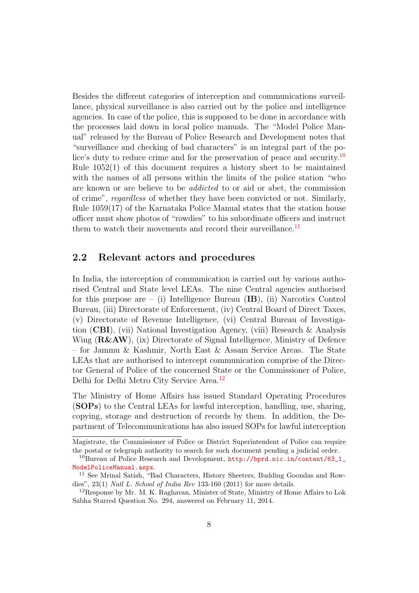Besides the different categories of interception and communications surveillance, physical surveillance is also carried out by the police and intelligence agencies. In case of the police, this is supposed to be done in accordance with the processes laid down in local police manuals. The "Model Police Manual" released by the Bureau of Police Research and Development notes that "surveillance and checking of bad characters" is an integral part of the po-lice's duty to reduce crime and for the preservation of peace and security.<sup>[10](#page-7-1)</sup> Rule 1052(1) of this document requires a history sheet to be maintained with the names of all persons within the limits of the police station "who are known or are believe to be addicted to or aid or abet, the commission of crime", regardless of whether they have been convicted or not. Similarly, Rule 1059(17) of the Karnataka Police Manual states that the station house officer must show photos of "rowdies" to his subordinate officers and instruct them to watch their movements and record their surveillance.<sup>[11](#page-7-2)</sup>

#### <span id="page-7-0"></span>2.2 Relevant actors and procedures

In India, the interception of communication is carried out by various authorised Central and State level LEAs. The nine Central agencies authorised for this purpose are  $-$  (i) Intelligence Bureau (IB), (ii) Narcotics Control Bureau, (iii) Directorate of Enforcement, (iv) Central Board of Direct Taxes, (v) Directorate of Revenue Intelligence, (vi) Central Bureau of Investigation (CBI), (vii) National Investigation Agency, (viii) Research & Analysis Wing (R&AW), (ix) Directorate of Signal Intelligence, Ministry of Defence – for Jammu & Kashmir, North East & Assam Service Areas. The State LEAs that are authorised to intercept communication comprise of the Director General of Police of the concerned State or the Commissioner of Police, Delhi for Delhi Metro City Service Area.<sup>[12](#page-7-3)</sup>

The Ministry of Home Affairs has issued Standard Operating Procedures (SOPs) to the Central LEAs for lawful interception, handling, use, sharing, copying, storage and destruction of records by them. In addition, the Department of Telecommunications has also issued SOPs for lawful interception

Magistrate, the Commissioner of Police or District Superintendent of Police can require the postal or telegraph authority to search for such document pending a judicial order.

<span id="page-7-1"></span><sup>10</sup>Bureau of Police Research and Development, [http://bprd.nic.in/content/63\\_1\\_](http://bprd.nic.in/content/63_1_ModelPoliceManual.aspx) [ModelPoliceManual.aspx](http://bprd.nic.in/content/63_1_ModelPoliceManual.aspx).

<span id="page-7-2"></span><sup>11</sup> See Mrinal Satish, "Bad Characters, History Sheeters, Budding Goondas and Rowdies", 23(1) Natl L. School of India Rev 133-160 (2011) for more details.

<span id="page-7-3"></span><sup>&</sup>lt;sup>12</sup>Response by Mr. M. K. Raghavan, Minister of State, Ministry of Home Affairs to Lok Sabha Starred Question No. 294, answered on February 11, 2014.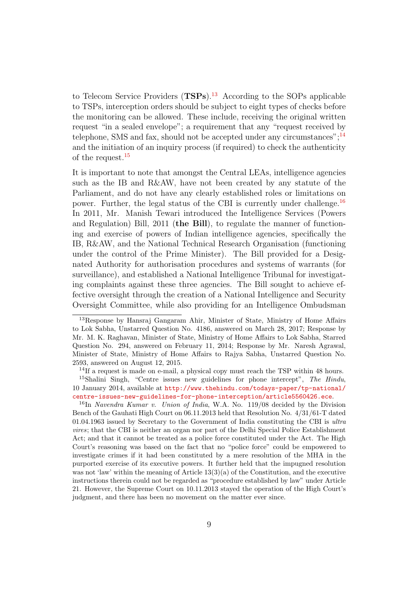to Telecom Service Providers  $(TSPs).<sup>13</sup>$  $(TSPs).<sup>13</sup>$  $(TSPs).<sup>13</sup>$  According to the SOPs applicable to TSPs, interception orders should be subject to eight types of checks before the monitoring can be allowed. These include, receiving the original written request "in a sealed envelope"; a requirement that any "request received by telephone, SMS and fax, should not be accepted under any circumstances"; $<sup>14</sup>$  $<sup>14</sup>$  $<sup>14</sup>$ </sup> and the initiation of an inquiry process (if required) to check the authenticity of the request.<sup>[15](#page-8-2)</sup>

It is important to note that amongst the Central LEAs, intelligence agencies such as the IB and R&AW, have not been created by any statute of the Parliament, and do not have any clearly established roles or limitations on power. Further, the legal status of the CBI is currently under challenge.[16](#page-8-3) In 2011, Mr. Manish Tewari introduced the Intelligence Services (Powers and Regulation) Bill, 2011 (the Bill), to regulate the manner of functioning and exercise of powers of Indian intelligence agencies, specifically the IB, R&AW, and the National Technical Research Organisation (functioning under the control of the Prime Minister). The Bill provided for a Designated Authority for authorisation procedures and systems of warrants (for surveillance), and established a National Intelligence Tribunal for investigating complaints against these three agencies. The Bill sought to achieve effective oversight through the creation of a National Intelligence and Security Oversight Committee, while also providing for an Intelligence Ombudsman

<span id="page-8-0"></span><sup>13</sup>Response by Hansraj Gangaram Ahir, Minister of State, Ministry of Home Affairs to Lok Sabha, Unstarred Question No. 4186, answered on March 28, 2017; Response by Mr. M. K. Raghavan, Minister of State, Ministry of Home Affairs to Lok Sabha, Starred Question No. 294, answered on February 11, 2014; Response by Mr. Naresh Agrawal, Minister of State, Ministry of Home Affairs to Rajya Sabha, Unstarred Question No. 2593, answered on August 12, 2015.

<span id="page-8-2"></span><span id="page-8-1"></span><sup>&</sup>lt;sup>14</sup>If a request is made on e-mail, a physical copy must reach the TSP within 48 hours.

<sup>&</sup>lt;sup>15</sup>Shalini Singh, "Centre issues new guidelines for phone intercept", The Hindu, 10 January 2014, available at [http://www.thehindu.com/todays-paper/tp-national/](http://www.thehindu.com/todays-paper/tp-national/centre-issues-new-guidelines-for-phone-interception/article5560426.ece) [centre-issues-new-guidelines-for-phone-interception/article5560426.ece](http://www.thehindu.com/todays-paper/tp-national/centre-issues-new-guidelines-for-phone-interception/article5560426.ece).

<span id="page-8-3"></span><sup>&</sup>lt;sup>16</sup>In Navendra Kumar v. Union of India, W.A. No. 119/08 decided by the Division Bench of the Gauhati High Court on 06.11.2013 held that Resolution No. 4/31/61-T dated 01.04.1963 issued by Secretary to the Government of India constituting the CBI is ultra vires; that the CBI is neither an organ nor part of the Delhi Special Police Establishment Act; and that it cannot be treated as a police force constituted under the Act. The High Court's reasoning was based on the fact that no "police force" could be empowered to investigate crimes if it had been constituted by a mere resolution of the MHA in the purported exercise of its executive powers. It further held that the impugned resolution was not 'law' within the meaning of Article  $13(3)(a)$  of the Constitution, and the executive instructions therein could not be regarded as "procedure established by law" under Article 21. However, the Supreme Court on 10.11.2013 stayed the operation of the High Court's judgment, and there has been no movement on the matter ever since.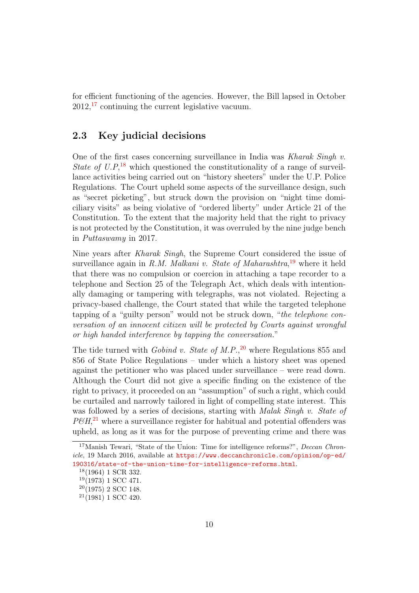for efficient functioning of the agencies. However, the Bill lapsed in October  $2012$ ,<sup>[17](#page-9-1)</sup> continuing the current legislative vacuum.

#### <span id="page-9-0"></span>2.3 Key judicial decisions

One of the first cases concerning surveillance in India was Kharak Singh v. State of  $U.P$ ,<sup>[18](#page-9-2)</sup> which questioned the constitutionality of a range of surveillance activities being carried out on "history sheeters" under the U.P. Police Regulations. The Court upheld some aspects of the surveillance design, such as "secret picketing", but struck down the provision on "night time domiciliary visits" as being violative of "ordered liberty" under Article 21 of the Constitution. To the extent that the majority held that the right to privacy is not protected by the Constitution, it was overruled by the nine judge bench in Puttaswamy in 2017.

Nine years after Kharak Singh, the Supreme Court considered the issue of surveillance again in R.M. Malkani v. State of Maharashtra,<sup>[19](#page-9-3)</sup> where it held that there was no compulsion or coercion in attaching a tape recorder to a telephone and Section 25 of the Telegraph Act, which deals with intentionally damaging or tampering with telegraphs, was not violated. Rejecting a privacy-based challenge, the Court stated that while the targeted telephone tapping of a "guilty person" would not be struck down, "the telephone conversation of an innocent citizen will be protected by Courts against wrongful or high handed interference by tapping the conversation."

The tide turned with *Gobind v. State of M.P.*,<sup>[20](#page-9-4)</sup> where Regulations 855 and 856 of State Police Regulations – under which a history sheet was opened against the petitioner who was placed under surveillance – were read down. Although the Court did not give a specific finding on the existence of the right to privacy, it proceeded on an "assumption" of such a right, which could be curtailed and narrowly tailored in light of compelling state interest. This was followed by a series of decisions, starting with *Malak Singh v. State of*  $P\mathcal{O}H$ <sup>[21](#page-9-5)</sup>, where a surveillance register for habitual and potential offenders was upheld, as long as it was for the purpose of preventing crime and there was

<span id="page-9-1"></span><sup>&</sup>lt;sup>17</sup>Manish Tewari, "State of the Union: Time for intelligence reforms?", *Deccan Chron*icle, 19 March 2016, available at [https://www.deccanchronicle.com/opinion/op-ed/](https://www.deccanchronicle.com/opinion/op-ed/190316/state-of-the-union-time-for-intelligence-reforms.html) [190316/state-of-the-union-time-for-intelligence-reforms.html](https://www.deccanchronicle.com/opinion/op-ed/190316/state-of-the-union-time-for-intelligence-reforms.html).

<span id="page-9-2"></span> $18(1964)$  1 SCR 332.

<span id="page-9-3"></span> $19(1973)$  1 SCC 471.

<span id="page-9-4"></span> $20(1975)$  2 SCC 148.

<span id="page-9-5"></span> $21(1981)$  1 SCC 420.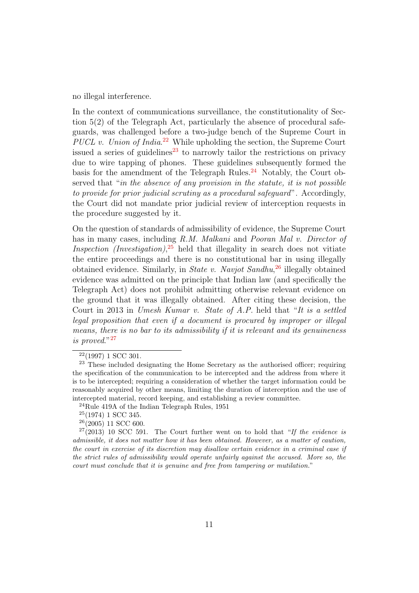no illegal interference.

In the context of communications surveillance, the constitutionality of Section 5(2) of the Telegraph Act, particularly the absence of procedural safeguards, was challenged before a two-judge bench of the Supreme Court in PUCL v. Union of India.<sup>[22](#page-10-0)</sup> While upholding the section, the Supreme Court issued a series of guidelines<sup>[23](#page-10-1)</sup> to narrowly tailor the restrictions on privacy due to wire tapping of phones. These guidelines subsequently formed the basis for the amendment of the Telegraph Rules.<sup>[24](#page-10-2)</sup> Notably, the Court observed that "in the absence of any provision in the statute, it is not possible to provide for prior judicial scrutiny as a procedural safeguard". Accordingly, the Court did not mandate prior judicial review of interception requests in the procedure suggested by it.

On the question of standards of admissibility of evidence, the Supreme Court has in many cases, including R.M. Malkani and Pooran Mal v. Director of *Inspection (Investigation)*<sup>[25](#page-10-3)</sup> held that illegality in search does not vitiate the entire proceedings and there is no constitutional bar in using illegally obtained evidence. Similarly, in *State v. Navjot Sandhu*<sup>[26](#page-10-4)</sup> illegally obtained evidence was admitted on the principle that Indian law (and specifically the Telegraph Act) does not prohibit admitting otherwise relevant evidence on the ground that it was illegally obtained. After citing these decision, the Court in 2013 in Umesh Kumar v. State of A.P. held that "It is a settled legal proposition that even if a document is procured by improper or illegal means, there is no bar to its admissibility if it is relevant and its genuineness is proved."[27](#page-10-5)

<span id="page-10-1"></span><span id="page-10-0"></span> $22(1997)$  1 SCC 301.

<sup>&</sup>lt;sup>23</sup> These included designating the Home Secretary as the authorised officer; requiring the specification of the communication to be intercepted and the address from where it is to be intercepted; requiring a consideration of whether the target information could be reasonably acquired by other means, limiting the duration of interception and the use of intercepted material, record keeping, and establishing a review committee.

<span id="page-10-2"></span><sup>24</sup>Rule 419A of the Indian Telegraph Rules, 1951

<span id="page-10-3"></span> $25(1974)$  1 SCC 345.

<span id="page-10-5"></span><span id="page-10-4"></span> $26(2005)$  11 SCC 600.

 $27(2013)$  10 SCC 591. The Court further went on to hold that "If the evidence is admissible, it does not matter how it has been obtained. However, as a matter of caution, the court in exercise of its discretion may disallow certain evidence in a criminal case if the strict rules of admissibility would operate unfairly against the accused. More so, the court must conclude that it is genuine and free from tampering or mutilation."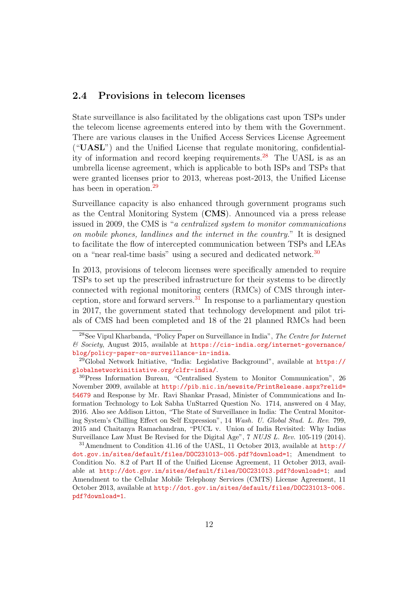#### <span id="page-11-0"></span>2.4 Provisions in telecom licenses

State surveillance is also facilitated by the obligations cast upon TSPs under the telecom license agreements entered into by them with the Government. There are various clauses in the Unified Access Services License Agreement ("UASL") and the Unified License that regulate monitoring, confidentiality of information and record keeping requirements.[28](#page-11-1) The UASL is as an umbrella license agreement, which is applicable to both ISPs and TSPs that were granted licenses prior to 2013, whereas post-2013, the Unified License has been in operation.<sup>[29](#page-11-2)</sup>

Surveillance capacity is also enhanced through government programs such as the Central Monitoring System (CMS). Announced via a press release issued in 2009, the CMS is "a centralized system to monitor communications on mobile phones, landlines and the internet in the country." It is designed to facilitate the flow of intercepted communication between TSPs and LEAs on a "near real-time basis" using a secured and dedicated network.<sup>[30](#page-11-3)</sup>

In 2013, provisions of telecom licenses were specifically amended to require TSPs to set up the prescribed infrastructure for their systems to be directly connected with regional monitoring centers (RMCs) of CMS through inter-ception, store and forward servers.<sup>[31](#page-11-4)</sup> In response to a parliamentary question in 2017, the government stated that technology development and pilot trials of CMS had been completed and 18 of the 21 planned RMCs had been

<span id="page-11-1"></span><sup>28</sup>See Vipul Kharbanda, "Policy Paper on Surveillance in India", The Centre for Internet  $&$  Society, August 2015, available at [https://cis-india.org/internet-governance/](https://cis-india.org/internet-governance/blog/policy-paper-on-surveillance-in-india) [blog/policy-paper-on-surveillance-in-india](https://cis-india.org/internet-governance/blog/policy-paper-on-surveillance-in-india).

<span id="page-11-2"></span><sup>&</sup>lt;sup>29</sup>Global Network Initiative, "India: Legislative Background", available at  $\frac{h}{h}$ ttps:// [globalnetworkinitiative.org/clfr-india/](https://globalnetworkinitiative.org/clfr-india/).

<span id="page-11-3"></span><sup>30</sup>Press Information Bureau, "Centralised System to Monitor Communication", 26 November 2009, available at [http://pib.nic.in/newsite/PrintRelease.aspx?relid=](http://pib.nic.in/newsite/PrintRelease.aspx?relid=54679) [54679](http://pib.nic.in/newsite/PrintRelease.aspx?relid=54679) and Response by Mr. Ravi Shankar Prasad, Minister of Communications and Information Technology to Lok Sabha UnStarred Question No. 1714, answered on 4 May, 2016. Also see Addison Litton, "The State of Surveillance in India: The Central Monitoring System's Chilling Effect on Self Expression", 14 Wash. U. Global Stud. L. Rev. 799, 2015 and Chaitanya Ramachandran, "PUCL v. Union of India Revisited: Why Indias Surveillance Law Must Be Revised for the Digital Age", 7 NUJS L. Rev. 105-119 (2014).

<span id="page-11-4"></span><sup>31</sup>Amendment to Condition 41.16 of the UASL, 11 October 2013, available at [http://](http://dot.gov.in/sites/default/files/DOC231013-005.pdf?download=1) [dot.gov.in/sites/default/files/DOC231013-005.pdf?download=1](http://dot.gov.in/sites/default/files/DOC231013-005.pdf?download=1); Amendment to Condition No. 8.2 of Part II of the Unified License Agreement, 11 October 2013, available at <http://dot.gov.in/sites/default/files/DOC231013.pdf?download=1>; and Amendment to the Cellular Mobile Telephony Services (CMTS) License Agreement, 11 October 2013, available at [http://dot.gov.in/sites/default/files/DOC231013-006.](http://dot.gov.in/sites/default/files/DOC231013-006.pdf?download=1) [pdf?download=1](http://dot.gov.in/sites/default/files/DOC231013-006.pdf?download=1).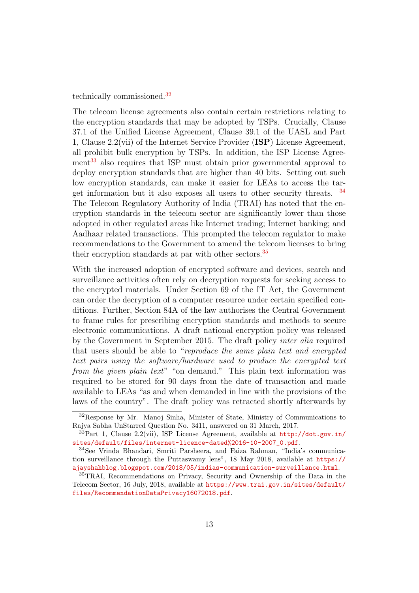technically commissioned.[32](#page-12-0)

The telecom license agreements also contain certain restrictions relating to the encryption standards that may be adopted by TSPs. Crucially, Clause 37.1 of the Unified License Agreement, Clause 39.1 of the UASL and Part 1, Clause 2.2(vii) of the Internet Service Provider (ISP) License Agreement, all prohibit bulk encryption by TSPs. In addition, the ISP License Agree-ment<sup>[33](#page-12-1)</sup> also requires that ISP must obtain prior governmental approval to deploy encryption standards that are higher than 40 bits. Setting out such low encryption standards, can make it easier for LEAs to access the target information but it also exposes all users to other security threats. [34](#page-12-2) The Telecom Regulatory Authority of India (TRAI) has noted that the encryption standards in the telecom sector are significantly lower than those adopted in other regulated areas like Internet trading; Internet banking; and Aadhaar related transactions. This prompted the telecom regulator to make recommendations to the Government to amend the telecom licenses to bring their encryption standards at par with other sectors.<sup>[35](#page-12-3)</sup>

With the increased adoption of encrypted software and devices, search and surveillance activities often rely on decryption requests for seeking access to the encrypted materials. Under Section 69 of the IT Act, the Government can order the decryption of a computer resource under certain specified conditions. Further, Section 84A of the law authorises the Central Government to frame rules for prescribing encryption standards and methods to secure electronic communications. A draft national encryption policy was released by the Government in September 2015. The draft policy inter alia required that users should be able to "reproduce the same plain text and encrypted text pairs using the software/hardware used to produce the encrypted text from the given plain text" "on demand." This plain text information was required to be stored for 90 days from the date of transaction and made available to LEAs "as and when demanded in line with the provisions of the laws of the country". The draft policy was retracted shortly afterwards by

<span id="page-12-0"></span><sup>32</sup>Response by Mr. Manoj Sinha, Minister of State, Ministry of Communications to Rajya Sabha UnStarred Question No. 3411, answered on 31 March, 2017.

<span id="page-12-1"></span> $33$ Part 1, Clause 2.2(vii), ISP License Agreement, available at [http://dot.gov.in/](http://dot.gov.in/sites/default/files/internet-licence-dated%2016-10-2007_0.pdf) [sites/default/files/internet-licence-dated%2016-10-2007\\_0.pdf](http://dot.gov.in/sites/default/files/internet-licence-dated%2016-10-2007_0.pdf).

<span id="page-12-2"></span><sup>34</sup>See Vrinda Bhandari, Smriti Parsheera, and Faiza Rahman, "India's communication surveillance through the Puttaswamy lens", 18 May 2018, available at [https://](https://ajayshahblog.blogspot.com/2018/05/indias-communication-surveillance.html) [ajayshahblog.blogspot.com/2018/05/indias-communication-surveillance.html](https://ajayshahblog.blogspot.com/2018/05/indias-communication-surveillance.html).

<span id="page-12-3"></span><sup>35</sup>TRAI, Recommendations on Privacy, Security and Ownership of the Data in the Telecom Sector, 16 July, 2018, available at [https://www.trai.gov.in/sites/default/](https://www.trai.gov.in/sites/default/files/RecommendationDataPrivacy16072018.pdf) [files/RecommendationDataPrivacy16072018.pdf](https://www.trai.gov.in/sites/default/files/RecommendationDataPrivacy16072018.pdf).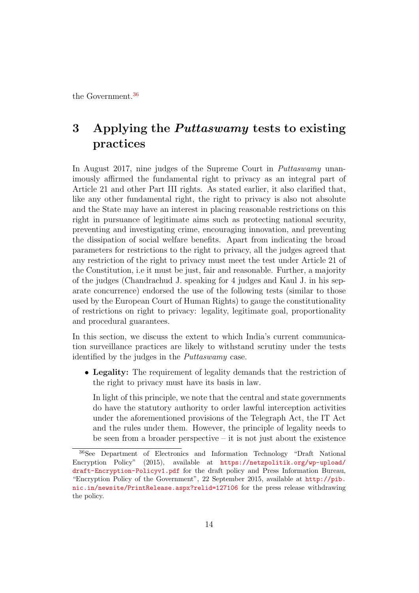the Government.<sup>[36](#page-13-1)</sup>

## <span id="page-13-0"></span>3 Applying the *Puttaswamy* tests to existing practices

In August 2017, nine judges of the Supreme Court in *Puttaswamy* unanimously affirmed the fundamental right to privacy as an integral part of Article 21 and other Part III rights. As stated earlier, it also clarified that, like any other fundamental right, the right to privacy is also not absolute and the State may have an interest in placing reasonable restrictions on this right in pursuance of legitimate aims such as protecting national security, preventing and investigating crime, encouraging innovation, and preventing the dissipation of social welfare benefits. Apart from indicating the broad parameters for restrictions to the right to privacy, all the judges agreed that any restriction of the right to privacy must meet the test under Article 21 of the Constitution, i.e it must be just, fair and reasonable. Further, a majority of the judges (Chandrachud J. speaking for 4 judges and Kaul J. in his separate concurrence) endorsed the use of the following tests (similar to those used by the European Court of Human Rights) to gauge the constitutionality of restrictions on right to privacy: legality, legitimate goal, proportionality and procedural guarantees.

In this section, we discuss the extent to which India's current communication surveillance practices are likely to withstand scrutiny under the tests identified by the judges in the Puttaswamy case.

• Legality: The requirement of legality demands that the restriction of the right to privacy must have its basis in law.

In light of this principle, we note that the central and state governments do have the statutory authority to order lawful interception activities under the aforementioned provisions of the Telegraph Act, the IT Act and the rules under them. However, the principle of legality needs to be seen from a broader perspective – it is not just about the existence

<span id="page-13-1"></span><sup>36</sup>See Department of Electronics and Information Technology "Draft National Encryption Policy" (2015), available at [https://netzpolitik.org/wp-upload/](https://netzpolitik.org/wp-upload/draft-Encryption-Policyv1.pdf) [draft-Encryption-Policyv1.pdf](https://netzpolitik.org/wp-upload/draft-Encryption-Policyv1.pdf) for the draft policy and Press Information Bureau, "Encryption Policy of the Government", 22 September 2015, available at [http://pib.](http://pib.nic.in/newsite/PrintRelease.aspx?relid=127106) [nic.in/newsite/PrintRelease.aspx?relid=127106](http://pib.nic.in/newsite/PrintRelease.aspx?relid=127106) for the press release withdrawing the policy.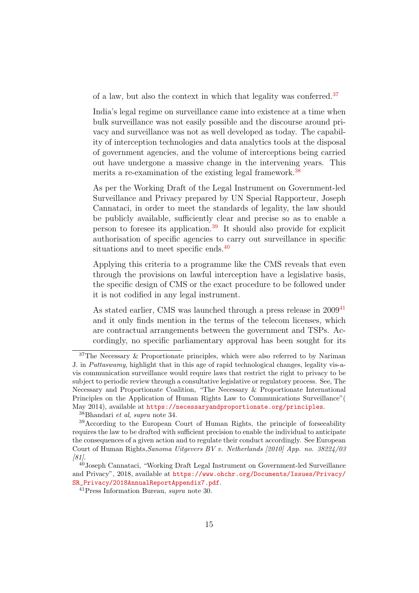of a law, but also the context in which that legality was conferred.<sup>[37](#page-14-0)</sup>

India's legal regime on surveillance came into existence at a time when bulk surveillance was not easily possible and the discourse around privacy and surveillance was not as well developed as today. The capability of interception technologies and data analytics tools at the disposal of government agencies, and the volume of interceptions being carried out have undergone a massive change in the intervening years. This merits a re-examination of the existing legal framework.<sup>[38](#page-14-1)</sup>

As per the Working Draft of the Legal Instrument on Government-led Surveillance and Privacy prepared by UN Special Rapporteur, Joseph Cannataci, in order to meet the standards of legality, the law should be publicly available, sufficiently clear and precise so as to enable a person to foresee its application.[39](#page-14-2) It should also provide for explicit authorisation of specific agencies to carry out surveillance in specific situations and to meet specific ends.<sup>[40](#page-14-3)</sup>

Applying this criteria to a programme like the CMS reveals that even through the provisions on lawful interception have a legislative basis, the specific design of CMS or the exact procedure to be followed under it is not codified in any legal instrument.

As stated earlier, CMS was launched through a press release in 2009<sup>[41](#page-14-4)</sup> and it only finds mention in the terms of the telecom licenses, which are contractual arrangements between the government and TSPs. Accordingly, no specific parliamentary approval has been sought for its

<span id="page-14-0"></span> $37$ The Necessary & Proportionate principles, which were also referred to by Nariman J. in Puttaswamy, highlight that in this age of rapid technological changes, legality vis-avis communication surveillance would require laws that restrict the right to privacy to be subject to periodic review through a consultative legislative or regulatory process. See, The Necessary and Proportionate Coalition, "The Necessary & Proportionate International Principles on the Application of Human Rights Law to Communications Surveillance"( May 2014), available at <https://necessaryandproportionate.org/principles>.

<span id="page-14-2"></span><span id="page-14-1"></span><sup>38</sup>Bhandari et al, supra note 34.

<sup>39</sup>According to the European Court of Human Rights, the principle of forseeability requires the law to be drafted with sufficient precision to enable the individual to anticipate the consequences of a given action and to regulate their conduct accordingly. See European Court of Human Rights,Sanoma Uitgevers BV v. Netherlands [2010] App. no. 38224/03 [81].

<span id="page-14-3"></span><sup>40</sup>Joseph Cannataci, "Working Draft Legal Instrument on Government-led Surveillance and Privacy", 2018, available at [https://www.ohchr.org/Documents/Issues/Privacy/](https://www.ohchr.org/Documents/Issues/Privacy/SR_Privacy/2018AnnualReportAppendix7.pdf) [SR\\_Privacy/2018AnnualReportAppendix7.pdf](https://www.ohchr.org/Documents/Issues/Privacy/SR_Privacy/2018AnnualReportAppendix7.pdf).

<span id="page-14-4"></span><sup>41</sup>Press Information Bureau, supra note 30.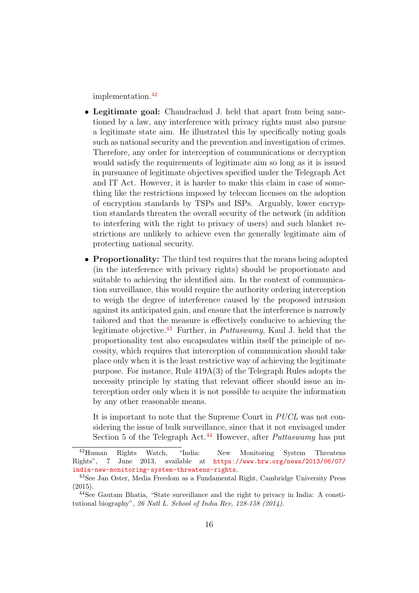implementation.[42](#page-15-0)

- Legitimate goal: Chandrachud J. held that apart from being sanctioned by a law, any interference with privacy rights must also pursue a legitimate state aim. He illustrated this by specifically noting goals such as national security and the prevention and investigation of crimes. Therefore, any order for interception of communications or decryption would satisfy the requirements of legitimate aim so long as it is issued in pursuance of legitimate objectives specified under the Telegraph Act and IT Act. However, it is harder to make this claim in case of something like the restrictions imposed by telecom licenses on the adoption of encryption standards by TSPs and ISPs. Arguably, lower encryption standards threaten the overall security of the network (in addition to interfering with the right to privacy of users) and such blanket restrictions are unlikely to achieve even the generally legitimate aim of protecting national security.
- Proportionality: The third test requires that the means being adopted (in the interference with privacy rights) should be proportionate and suitable to achieving the identified aim. In the context of communication surveillance, this would require the authority ordering interception to weigh the degree of interference caused by the proposed intrusion against its anticipated gain, and ensure that the interference is narrowly tailored and that the measure is effectively conducive to achieving the legitimate objective.<sup>[43](#page-15-1)</sup> Further, in *Puttaswamy*, Kaul J. held that the proportionality test also encapsulates within itself the principle of necessity, which requires that interception of communication should take place only when it is the least restrictive way of achieving the legitimate purpose. For instance, Rule 419A(3) of the Telegraph Rules adopts the necessity principle by stating that relevant officer should issue an interception order only when it is not possible to acquire the information by any other reasonable means.

It is important to note that the Supreme Court in PUCL was not considering the issue of bulk surveillance, since that it not envisaged under Section 5 of the Telegraph Act.<sup>[44](#page-15-2)</sup> However, after *Puttaswamy* has put

<span id="page-15-0"></span><sup>42</sup>Human Rights Watch, "India: New Monitoring System Threatens Rights", 7 June 2013, available at [https://www.hrw.org/news/2013/06/07/](https://www.hrw.org/news/2013/06/07/india-new-monitoring-system-threatens-rights) [india-new-monitoring-system-threatens-rights](https://www.hrw.org/news/2013/06/07/india-new-monitoring-system-threatens-rights).

<span id="page-15-1"></span><sup>43</sup>See Jan Oster, Media Freedom as a Fundamental Right, Cambridge University Press (2015).

<span id="page-15-2"></span><sup>44</sup>See Gautam Bhatia, "State surveillance and the right to privacy in India: A constitutional biography", 26 Natl L. School of India Rev, 128-158 (2014).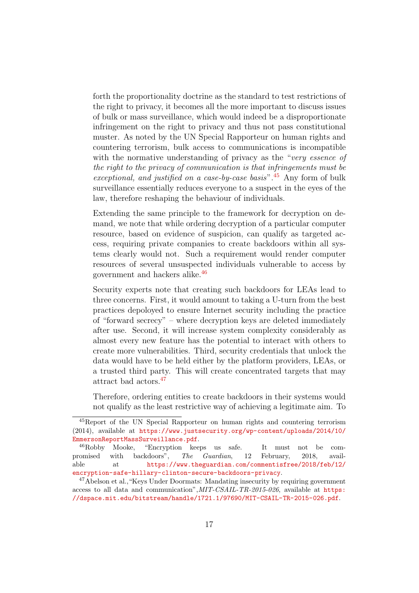forth the proportionality doctrine as the standard to test restrictions of the right to privacy, it becomes all the more important to discuss issues of bulk or mass surveillance, which would indeed be a disproportionate infringement on the right to privacy and thus not pass constitutional muster. As noted by the UN Special Rapporteur on human rights and countering terrorism, bulk access to communications is incompatible with the normative understanding of privacy as the "very essence of the right to the privacy of communication is that infringements must be exceptional, and justified on a case-by-case basis".  $45$  Any form of bulk surveillance essentially reduces everyone to a suspect in the eyes of the law, therefore reshaping the behaviour of individuals.

Extending the same principle to the framework for decryption on demand, we note that while ordering decryption of a particular computer resource, based on evidence of suspicion, can qualify as targeted access, requiring private companies to create backdoors within all systems clearly would not. Such a requirement would render computer resources of several unsuspected individuals vulnerable to access by government and hackers alike.[46](#page-16-1)

Security experts note that creating such backdoors for LEAs lead to three concerns. First, it would amount to taking a U-turn from the best practices depoloyed to ensure Internet security including the practice of "forward secrecy" – where decryption keys are deleted immediately after use. Second, it will increase system complexity considerably as almost every new feature has the potential to interact with others to create more vulnerabilities. Third, security credentials that unlock the data would have to be held either by the platform providers, LEAs, or a trusted third party. This will create concentrated targets that may attract bad actors.[47](#page-16-2)

Therefore, ordering entities to create backdoors in their systems would not qualify as the least restrictive way of achieving a legitimate aim. To

<span id="page-16-0"></span><sup>45</sup>Report of the UN Special Rapporteur on human rights and countering terrorism (2014), available at [https://www.justsecurity.org/wp-content/uploads/2014/10/](https://www.justsecurity.org/wp-content/uploads/2014/10/EmmersonReportMassSurveillance.pdf) [EmmersonReportMassSurveillance.pdf](https://www.justsecurity.org/wp-content/uploads/2014/10/EmmersonReportMassSurveillance.pdf).

<span id="page-16-1"></span><sup>46</sup>Robby Mooke, "Encryption keeps us safe. It must not be compromised with backdoors", The Guardian, 12 February, 2018, available at [https://www.theguardian.com/commentisfree/2018/feb/12/](https://www.theguardian.com/commentisfree/2018/feb/12/encryption-safe-hillary-clinton-secure-backdoors-privacy) [encryption-safe-hillary-clinton-secure-backdoors-privacy](https://www.theguardian.com/commentisfree/2018/feb/12/encryption-safe-hillary-clinton-secure-backdoors-privacy).

<span id="page-16-2"></span><sup>47</sup>Abelson et al.,"Keys Under Doormats: Mandating insecurity by requiring government access to all data and communication",MIT-CSAIL-TR-2015-026, available at [https:](https://dspace.mit.edu/bitstream/handle/1721.1/97690/MIT-CSAIL-TR-2015-026.pdf) [//dspace.mit.edu/bitstream/handle/1721.1/97690/MIT-CSAIL-TR-2015-026.pdf](https://dspace.mit.edu/bitstream/handle/1721.1/97690/MIT-CSAIL-TR-2015-026.pdf).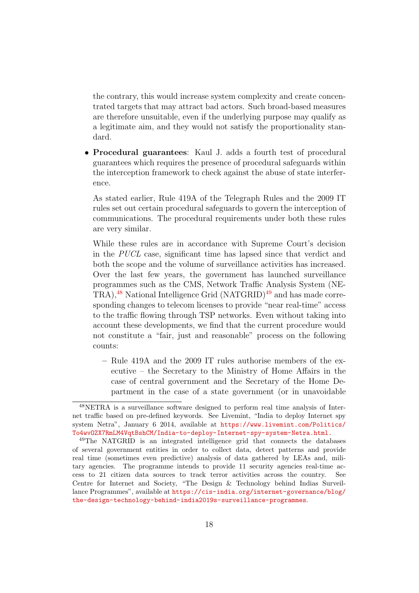the contrary, this would increase system complexity and create concentrated targets that may attract bad actors. Such broad-based measures are therefore unsuitable, even if the underlying purpose may qualify as a legitimate aim, and they would not satisfy the proportionality standard.

• Procedural guarantees: Kaul J. adds a fourth test of procedural guarantees which requires the presence of procedural safeguards within the interception framework to check against the abuse of state interference.

As stated earlier, Rule 419A of the Telegraph Rules and the 2009 IT rules set out certain procedural safeguards to govern the interception of communications. The procedural requirements under both these rules are very similar.

While these rules are in accordance with Supreme Court's decision in the PUCL case, significant time has lapsed since that verdict and both the scope and the volume of surveillance activities has increased. Over the last few years, the government has launched surveillance programmes such as the CMS, Network Traffic Analysis System (NE-TRA),<sup>[48](#page-17-0)</sup> National Intelligence Grid (NATGRID)<sup>[49](#page-17-1)</sup> and has made corresponding changes to telecom licenses to provide "near real-time" access to the traffic flowing through TSP networks. Even without taking into account these developments, we find that the current procedure would not constitute a "fair, just and reasonable" process on the following counts:

– Rule 419A and the 2009 IT rules authorise members of the executive – the Secretary to the Ministry of Home Affairs in the case of central government and the Secretary of the Home Department in the case of a state government (or in unavoidable

<span id="page-17-0"></span><sup>48</sup>NETRA is a surveillance software designed to perform real time analysis of Internet traffic based on pre-defined keywords. See Livemint, "India to deploy Internet spy system Netra", January 6 2014, available at [https://www.livemint.com/Politics/](https://www.livemint.com/Politics/To4wvOZX7RmLM4VqtBshCM/ India-to-deploy-Internet-spy-system-Netra.html.) [To4wvOZX7RmLM4VqtBshCM/India-to-deploy-Internet-spy-system-Netra.html.](https://www.livemint.com/Politics/To4wvOZX7RmLM4VqtBshCM/ India-to-deploy-Internet-spy-system-Netra.html.)

<span id="page-17-1"></span><sup>&</sup>lt;sup>49</sup>The NATGRID is an integrated intelligence grid that connects the databases of several government entities in order to collect data, detect patterns and provide real time (sometimes even predictive) analysis of data gathered by LEAs and, military agencies. The programme intends to provide 11 security agencies real-time access to 21 citizen data sources to track terror activities across the country. See Centre for Internet and Society, "The Design & Technology behind Indias Surveillance Programmes", available at [https://cis-india.org/internet-governance/blog/](https://cis-india.org/internet-governance/blog/the-design-technology-behind-india2019s-surveillance-programmes) [the-design-technology-behind-india2019s-surveillance-programmes](https://cis-india.org/internet-governance/blog/the-design-technology-behind-india2019s-surveillance-programmes).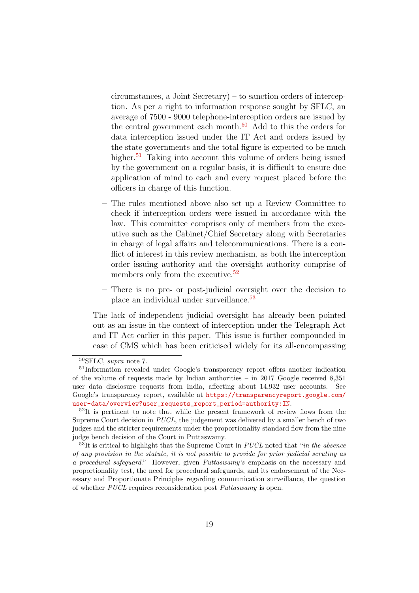circumstances, a Joint Secretary) – to sanction orders of interception. As per a right to information response sought by SFLC, an average of 7500 - 9000 telephone-interception orders are issued by the central government each month.<sup>[50](#page-18-0)</sup> Add to this the orders for data interception issued under the IT Act and orders issued by the state governments and the total figure is expected to be much higher.<sup>[51](#page-18-1)</sup> Taking into account this volume of orders being issued by the government on a regular basis, it is difficult to ensure due application of mind to each and every request placed before the officers in charge of this function.

- The rules mentioned above also set up a Review Committee to check if interception orders were issued in accordance with the law. This committee comprises only of members from the executive such as the Cabinet/Chief Secretary along with Secretaries in charge of legal affairs and telecommunications. There is a conflict of interest in this review mechanism, as both the interception order issuing authority and the oversight authority comprise of members only from the executive.<sup>[52](#page-18-2)</sup>
- There is no pre- or post-judicial oversight over the decision to place an individual under surveillance.<sup>[53](#page-18-3)</sup>

The lack of independent judicial oversight has already been pointed out as an issue in the context of interception under the Telegraph Act and IT Act earlier in this paper. This issue is further compounded in case of CMS which has been criticised widely for its all-encompassing

<span id="page-18-1"></span><span id="page-18-0"></span><sup>50</sup>SFLC, supra note 7.

<sup>51</sup>Information revealed under Google's transparency report offers another indication of the volume of requests made by Indian authorities – in 2017 Google received  $8.351$ user data disclosure requests from India, affecting about 14,932 user accounts. See Google's transparency report, available at [https://transparencyreport.google.com/](https://transparencyreport.google.com/user-data/overview?user_requests_report_period=authority:IN) [user-data/overview?user\\_requests\\_report\\_period=authority:IN](https://transparencyreport.google.com/user-data/overview?user_requests_report_period=authority:IN).

<span id="page-18-2"></span><sup>&</sup>lt;sup>52</sup>It is pertinent to note that while the present framework of review flows from the Supreme Court decision in PUCL, the judgement was delivered by a smaller bench of two judges and the stricter requirements under the proportionality standard flow from the nine judge bench decision of the Court in Puttaswamy.

<span id="page-18-3"></span> $53$ It is critical to highlight that the Supreme Court in *PUCL* noted that "*in the absence* of any provision in the statute, it is not possible to provide for prior judicial scrutiny as a procedural safeguard." However, given Puttaswamy's emphasis on the necessary and proportionality test, the need for procedural safeguards, and its endorsement of the Necessary and Proportionate Principles regarding communication surveillance, the question of whether PUCL requires reconsideration post Puttaswamy is open.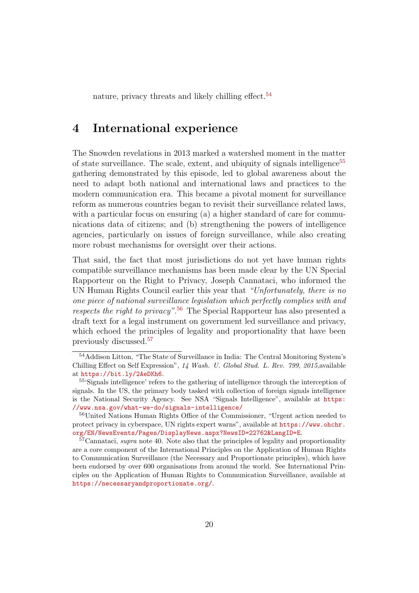nature, privacy threats and likely chilling effect.<sup>[54](#page-19-1)</sup>

### <span id="page-19-0"></span>4 International experience

The Snowden revelations in 2013 marked a watershed moment in the matter of state surveillance. The scale, extent, and ubiquity of signals intelligence<sup>[55](#page-19-2)</sup> gathering demonstrated by this episode, led to global awareness about the need to adapt both national and international laws and practices to the modern communication era. This became a pivotal moment for surveillance reform as numerous countries began to revisit their surveillance related laws, with a particular focus on ensuring (a) a higher standard of care for communications data of citizens; and (b) strengthening the powers of intelligence agencies, particularly on issues of foreign surveillance, while also creating more robust mechanisms for oversight over their actions.

That said, the fact that most jurisdictions do not yet have human rights compatible surveillance mechanisms has been made clear by the UN Special Rapporteur on the Right to Privacy, Joseph Cannataci, who informed the UN Human Rights Council earlier this year that "Unfortunately, there is no one piece of national surveillance legislation which perfectly complies with and respects the right to privacy".<sup>[56](#page-19-3)</sup> The Special Rapporteur has also presented a draft text for a legal instrument on government led surveillance and privacy, which echoed the principles of legality and proportionality that have been previously discussed.[57](#page-19-4)

<span id="page-19-1"></span><sup>54</sup>Addison Litton, "The State of Surveillance in India: The Central Monitoring System's Chilling Effect on Self Expression", 14 Wash. U. Global Stud. L. Rev. 799, 2015,available at <https://bit.ly/2AeDKh6>.

<span id="page-19-2"></span><sup>55</sup>'Signals intelligence' refers to the gathering of intelligence through the interception of signals. In the US, the primary body tasked with collection of foreign signals intelligence is the National Security Agency. See NSA "Signals Intelligence", available at [https:](https://www.nsa.gov/what-we-do/signals-intelligence/) [//www.nsa.gov/what-we-do/signals-intelligence/](https://www.nsa.gov/what-we-do/signals-intelligence/)

<span id="page-19-3"></span><sup>&</sup>lt;sup>56</sup>United Nations Human Rights Office of the Commissioner, "Urgent action needed to protect privacy in cyberspace, UN rights expert warns", available at [https://www.ohchr.](https://www.ohchr.org/EN/NewsEvents/Pages/DisplayNews.aspx?NewsID=22762&LangID=E) [org/EN/NewsEvents/Pages/DisplayNews.aspx?NewsID=22762&LangID=E](https://www.ohchr.org/EN/NewsEvents/Pages/DisplayNews.aspx?NewsID=22762&LangID=E).

<span id="page-19-4"></span> $57$ Cannataci, supra note 40. Note also that the principles of legality and proportionality are a core component of the International Principles on the Application of Human Rights to Communication Surveillance (the Necessary and Proportionate principles), which have been endorsed by over 600 organisations from around the world. See International Principles on the Application of Human Rights to Communication Surveillance, available at <https://necessaryandproportionate.org/>.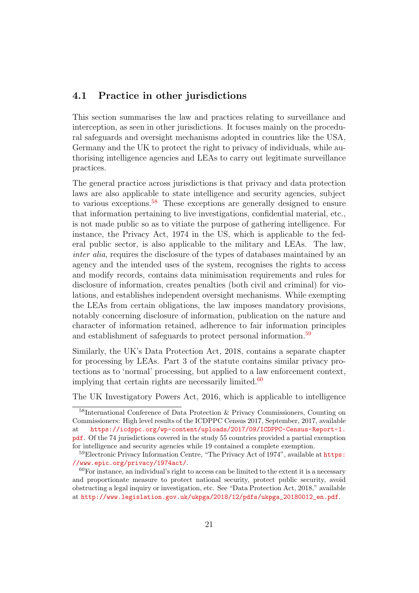#### <span id="page-20-0"></span>4.1 Practice in other jurisdictions

This section summarises the law and practices relating to surveillance and interception, as seen in other jurisdictions. It focuses mainly on the procedural safeguards and oversight mechanisms adopted in countries like the USA, Germany and the UK to protect the right to privacy of individuals, while authorising intelligence agencies and LEAs to carry out legitimate surveillance practices.

The general practice across jurisdictions is that privacy and data protection laws are also applicable to state intelligence and security agencies, subject to various exceptions.[58](#page-20-1) These exceptions are generally designed to ensure that information pertaining to live investigations, confidential material, etc., is not made public so as to vitiate the purpose of gathering intelligence. For instance, the Privacy Act, 1974 in the US, which is applicable to the federal public sector, is also applicable to the military and LEAs. The law, inter alia, requires the disclosure of the types of databases maintained by an agency and the intended uses of the system, recognises the rights to access and modify records, contains data minimisation requirements and rules for disclosure of information, creates penalties (both civil and criminal) for violations, and establishes independent oversight mechanisms. While exempting the LEAs from certain obligations, the law imposes mandatory provisions, notably concerning disclosure of information, publication on the nature and character of information retained, adherence to fair information principles and establishment of safeguards to protect personal information.<sup>[59](#page-20-2)</sup>

Similarly, the UK's Data Protection Act, 2018, contains a separate chapter for processing by LEAs. Part 3 of the statute contains similar privacy protections as to 'normal' processing, but applied to a law enforcement context, implying that certain rights are necessarily limited. $60$ 

The UK Investigatory Powers Act, 2016, which is applicable to intelligence

<span id="page-20-1"></span><sup>58</sup>International Conference of Data Protection & Privacy Commissioners, Counting on Commissioners: High level results of the ICDPPC Census 2017, September, 2017, available at [https://icdppc.org/wp-content/uploads/2017/09/ICDPPC-Census-Report-1.](https://icdppc.org/wp-content/uploads/2017/09/ICDPPC-Census-Report-1.pdf) [pdf](https://icdppc.org/wp-content/uploads/2017/09/ICDPPC-Census-Report-1.pdf). Of the 74 jurisdictions covered in the study 55 countries provided a partial exemption for intelligence and security agencies while 19 contained a complete exemption.

<span id="page-20-2"></span><sup>&</sup>lt;sup>59</sup>Electronic Privacy Information Centre, "The Privacy Act of 1974", available at [https:](https://www.epic.org/privacy/1974act/) [//www.epic.org/privacy/1974act/](https://www.epic.org/privacy/1974act/).

<span id="page-20-3"></span> $60$  For instance, an individual's right to access can be limited to the extent it is a necessary and proportionate measure to protect national security, protect public security, avoid obstructing a legal inquiry or investigation, etc. See "Data Protection Act, 2018," available at [http://www.legislation.gov.uk/ukpga/2018/12/pdfs/ukpga\\_20180012\\_en.pdf](http://www.legislation.gov.uk/ukpga/2018/12/pdfs/ukpga_20180012_en.pdf).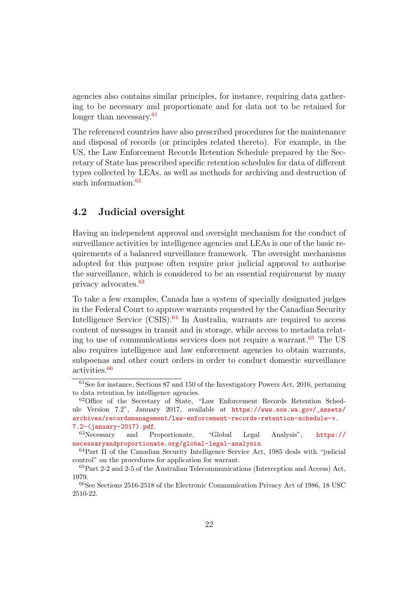agencies also contains similar principles, for instance, requiring data gathering to be necessary and proportionate and for data not to be retained for longer than necessary.<sup>[61](#page-21-1)</sup>

The referenced countries have also prescribed procedures for the maintenance and disposal of records (or principles related thereto). For example, in the US, the Law Enforcement Records Retention Schedule prepared by the Secretary of State has prescribed specific retention schedules for data of different types collected by LEAs, as well as methods for archiving and destruction of such information. $62$ 

#### <span id="page-21-0"></span>4.2 Judicial oversight

Having an independent approval and oversight mechanism for the conduct of surveillance activities by intelligence agencies and LEAs is one of the basic requirements of a balanced surveillance framework. The oversight mechanisms adopted for this purpose often require prior judicial approval to authorise the surveillance, which is considered to be an essential requirement by many privacy advocates.[63](#page-21-3)

To take a few examples, Canada has a system of specially designated judges in the Federal Court to approve warrants requested by the Canadian Security Intelligence Service  $(CSIS)$ .<sup>[64](#page-21-4)</sup> In Australia, warrants are required to access content of messages in transit and in storage, while access to metadata relat-ing to use of communications services does not require a warrant.<sup>[65](#page-21-5)</sup> The US also requires intelligence and law enforcement agencies to obtain warrants, subpoenas and other court orders in order to conduct domestic surveillance activities.[66](#page-21-6)

<span id="page-21-1"></span> $61$ See for instance, Sections 87 and 150 of the Investigatory Powers Act, 2016, pertaining to data retention by intelligence agencies.

<span id="page-21-2"></span><sup>62</sup>Office of the Secretary of State, "Law Enforcement Records Retention Schedule Version 7.2", January 2017, available at [https://www.sos.wa.gov/\\_assets/](https://www.sos.wa.gov/_assets/archives/recordsmanagement/law-enforcement-records-retention-schedule-v.7.2-(january-2017).pdf) [archives/recordsmanagement/law-enforcement-records-retention-schedule-v.](https://www.sos.wa.gov/_assets/archives/recordsmanagement/law-enforcement-records-retention-schedule-v.7.2-(january-2017).pdf) [7.2-\(january-2017\).pdf](https://www.sos.wa.gov/_assets/archives/recordsmanagement/law-enforcement-records-retention-schedule-v.7.2-(january-2017).pdf).

<span id="page-21-3"></span><sup>63</sup>Necessary and Proportionate, "Global Legal Analysis", [https://](https://necessaryandproportionate.org/global-legal-analysis) [necessaryandproportionate.org/global-legal-analysis](https://necessaryandproportionate.org/global-legal-analysis).

<span id="page-21-4"></span><sup>64</sup>Part II of the Canadian Security Intelligence Service Act, 1985 deals with "judicial control" on the procedures for application for warrant.

<span id="page-21-5"></span><sup>65</sup>Part 2-2 and 2-5 of the Australian Telecommunications (Interception and Access) Act, 1979.

<span id="page-21-6"></span><sup>66</sup>See Sections 2516-2518 of the Electronic Communication Privacy Act of 1986, 18 USC 2510-22.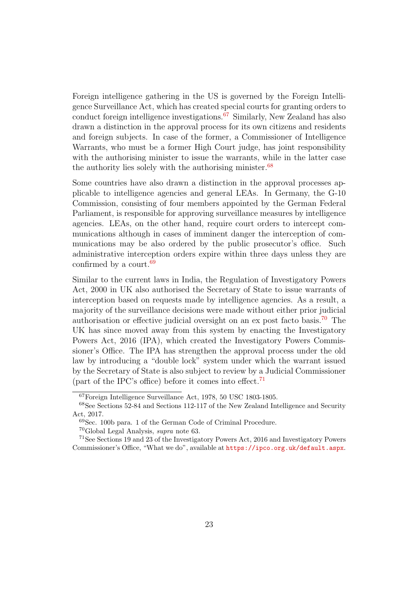Foreign intelligence gathering in the US is governed by the Foreign Intelligence Surveillance Act, which has created special courts for granting orders to conduct foreign intelligence investigations.<sup>[67](#page-22-0)</sup> Similarly, New Zealand has also drawn a distinction in the approval process for its own citizens and residents and foreign subjects. In case of the former, a Commissioner of Intelligence Warrants, who must be a former High Court judge, has joint responsibility with the authorising minister to issue the warrants, while in the latter case the authority lies solely with the authorising minister. $68$ 

Some countries have also drawn a distinction in the approval processes applicable to intelligence agencies and general LEAs. In Germany, the G-10 Commission, consisting of four members appointed by the German Federal Parliament, is responsible for approving surveillance measures by intelligence agencies. LEAs, on the other hand, require court orders to intercept communications although in cases of imminent danger the interception of communications may be also ordered by the public prosecutor's office. Such administrative interception orders expire within three days unless they are confirmed by a court.<sup>[69](#page-22-2)</sup>

Similar to the current laws in India, the Regulation of Investigatory Powers Act, 2000 in UK also authorised the Secretary of State to issue warrants of interception based on requests made by intelligence agencies. As a result, a majority of the surveillance decisions were made without either prior judicial authorisation or effective judicial oversight on an ex post facto basis.[70](#page-22-3) The UK has since moved away from this system by enacting the Investigatory Powers Act, 2016 (IPA), which created the Investigatory Powers Commissioner's Office. The IPA has strengthen the approval process under the old law by introducing a "double lock" system under which the warrant issued by the Secretary of State is also subject to review by a Judicial Commissioner (part of the IPC's office) before it comes into effect.<sup>[71](#page-22-4)</sup>

<span id="page-22-1"></span><span id="page-22-0"></span><sup>67</sup>Foreign Intelligence Surveillance Act, 1978, 50 USC 1803-1805.

<sup>68</sup>See Sections 52-84 and Sections 112-117 of the New Zealand Intelligence and Security Act, 2017.

<span id="page-22-2"></span><sup>69</sup>Sec. 100b para. 1 of the German Code of Criminal Procedure.

<span id="page-22-4"></span><span id="page-22-3"></span><sup>70</sup>Global Legal Analysis, supra note 63.

<sup>71</sup>See Sections 19 and 23 of the Investigatory Powers Act, 2016 and Investigatory Powers Commissioner's Office, "What we do", available at <https://ipco.org.uk/default.aspx>.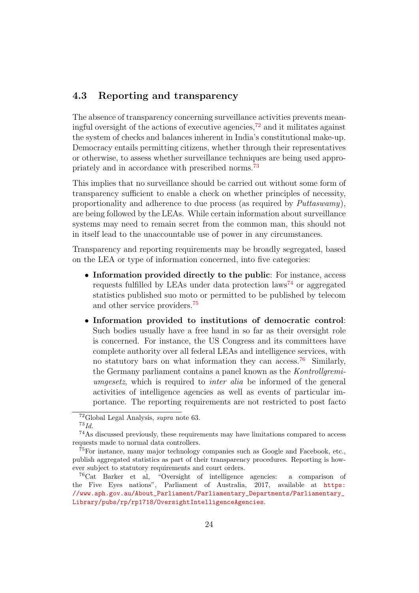#### <span id="page-23-0"></span>4.3 Reporting and transparency

The absence of transparency concerning surveillance activities prevents meaningful oversight of the actions of executive agencies,<sup> $72$ </sup> and it militates against the system of checks and balances inherent in India's constitutional make-up. Democracy entails permitting citizens, whether through their representatives or otherwise, to assess whether surveillance techniques are being used appropriately and in accordance with prescribed norms.[73](#page-23-2)

This implies that no surveillance should be carried out without some form of transparency sufficient to enable a check on whether principles of necessity, proportionality and adherence to due process (as required by Puttaswamy), are being followed by the LEAs. While certain information about surveillance systems may need to remain secret from the common man, this should not in itself lead to the unaccountable use of power in any circumstances.

Transparency and reporting requirements may be broadly segregated, based on the LEA or type of information concerned, into five categories:

- Information provided directly to the public: For instance, access requests fulfilled by LEAs under data protection  $\text{laws}^{74}$  $\text{laws}^{74}$  $\text{laws}^{74}$  or aggregated statistics published suo moto or permitted to be published by telecom and other service providers.[75](#page-23-4)
- Information provided to institutions of democratic control: Such bodies usually have a free hand in so far as their oversight role is concerned. For instance, the US Congress and its committees have complete authority over all federal LEAs and intelligence services, with no statutory bars on what information they can access.[76](#page-23-5) Similarly, the Germany parliament contains a panel known as the Kontrollgremiumgesetz, which is required to inter alia be informed of the general activities of intelligence agencies as well as events of particular importance. The reporting requirements are not restricted to post facto

<span id="page-23-1"></span><sup>72</sup>Global Legal Analysis, supra note 63.

<span id="page-23-3"></span><span id="page-23-2"></span> $73$   $Id.$ 

<sup>74</sup>As discussed previously, these requirements may have limitations compared to access requests made to normal data controllers.

<span id="page-23-4"></span><sup>75</sup>For instance, many major technology companies such as Google and Facebook, etc., publish aggregated statistics as part of their transparency procedures. Reporting is however subject to statutory requirements and court orders.

<span id="page-23-5"></span><sup>76</sup>Cat Barker et al, "Oversight of intelligence agencies: a comparison of the Five Eyes nations", Parliament of Australia, 2017, available at [https:](https://www.aph.gov.au/About_Parliament/Parliamentary_Departments/Parliamentary_Library/pubs/rp/rp1718/OversightIntelligenceAgencies) [//www.aph.gov.au/About\\_Parliament/Parliamentary\\_Departments/Parliamentary\\_](https://www.aph.gov.au/About_Parliament/Parliamentary_Departments/Parliamentary_Library/pubs/rp/rp1718/OversightIntelligenceAgencies) [Library/pubs/rp/rp1718/OversightIntelligenceAgencies](https://www.aph.gov.au/About_Parliament/Parliamentary_Departments/Parliamentary_Library/pubs/rp/rp1718/OversightIntelligenceAgencies).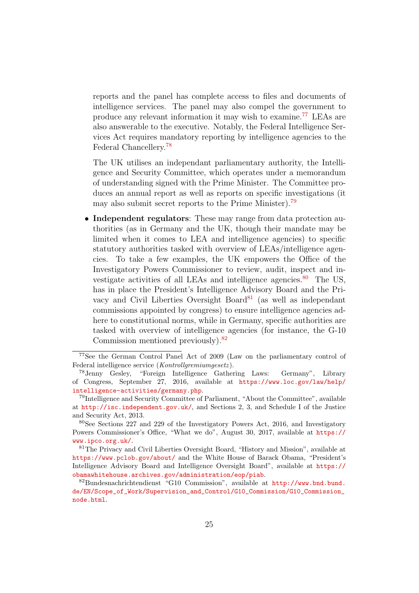reports and the panel has complete access to files and documents of intelligence services. The panel may also compel the government to produce any relevant information it may wish to examine.[77](#page-24-0) LEAs are also answerable to the executive. Notably, the Federal Intelligence Services Act requires mandatory reporting by intelligence agencies to the Federal Chancellery.[78](#page-24-1)

The UK utilises an independant parliamentary authority, the Intelligence and Security Committee, which operates under a memorandum of understanding signed with the Prime Minister. The Committee produces an annual report as well as reports on specific investigations (it may also submit secret reports to the Prime Minister).<sup>[79](#page-24-2)</sup>

• Independent regulators: These may range from data protection authorities (as in Germany and the UK, though their mandate may be limited when it comes to LEA and intelligence agencies) to specific statutory authorities tasked with overview of LEAs/intelligence agencies. To take a few examples, the UK empowers the Office of the Investigatory Powers Commissioner to review, audit, inspect and investigate activities of all LEAs and intelligence agencies. $80$  The US, has in place the President's Intelligence Advisory Board and the Pri-vacy and Civil Liberties Oversight Board<sup>[81](#page-24-4)</sup> (as well as independant commissions appointed by congress) to ensure intelligence agencies adhere to constitutional norms, while in Germany, specific authorities are tasked with overview of intelligence agencies (for instance, the G-10 Commission mentioned previously).[82](#page-24-5)

<span id="page-24-0"></span><sup>77</sup>See the German Control Panel Act of 2009 (Law on the parliamentary control of Federal intelligence service (Kontrollgremiumgesetz ).

<span id="page-24-1"></span><sup>78</sup>Jenny Gesley, "Foreign Intelligence Gathering Laws: Germany", Library of Congress, September 27, 2016, available at [https://www.loc.gov/law/help/](https://www.loc.gov/law/help/intelligence-activities/germany.php) [intelligence-activities/germany.php](https://www.loc.gov/law/help/intelligence-activities/germany.php).

<span id="page-24-2"></span><sup>79</sup>Intelligence and Security Committee of Parliament, "About the Committee", available at <http://isc.independent.gov.uk/>, and Sections 2, 3, and Schedule I of the Justice and Security Act, 2013.

<span id="page-24-3"></span><sup>80</sup>See Sections 227 and 229 of the Investigatory Powers Act, 2016, and Investigatory Powers Commissioner's Office, "What we do", August 30, 2017, available at [https://](https://www.ipco.org.uk/) [www.ipco.org.uk/](https://www.ipco.org.uk/).

<span id="page-24-4"></span><sup>81</sup>The Privacy and Civil Liberties Oversight Board, "History and Mission", available at <https://www.pclob.gov/about/> and the White House of Barack Obama, "President's Intelligence Advisory Board and Intelligence Oversight Board", available at [https://](https://obamawhitehouse.archives.gov/administration/eop/piab) [obamawhitehouse.archives.gov/administration/eop/piab](https://obamawhitehouse.archives.gov/administration/eop/piab).

<span id="page-24-5"></span><sup>82</sup>Bundesnachrichtendienst "G10 Commission", available at [http://www.bnd.bund.](http://www.bnd.bund.de/EN/Scope_of_Work/Supervision_and_Control/G10_Commission/G10_Commission_node.html) [de/EN/Scope\\_of\\_Work/Supervision\\_and\\_Control/G10\\_Commission/G10\\_Commission\\_](http://www.bnd.bund.de/EN/Scope_of_Work/Supervision_and_Control/G10_Commission/G10_Commission_node.html) [node.html](http://www.bnd.bund.de/EN/Scope_of_Work/Supervision_and_Control/G10_Commission/G10_Commission_node.html).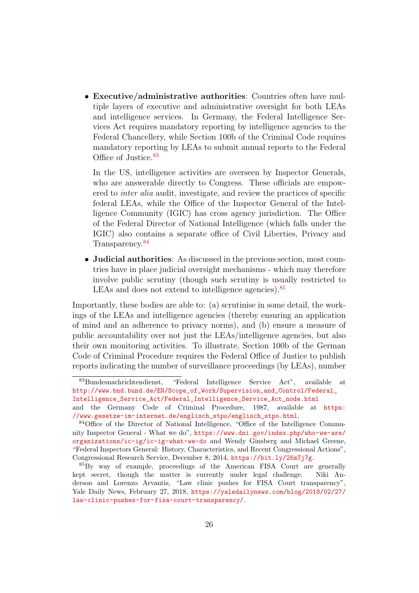• Executive/administrative authorities: Countries often have multiple layers of executive and administrative oversight for both LEAs and intelligence services. In Germany, the Federal Intelligence Services Act requires mandatory reporting by intelligence agencies to the Federal Chancellery, while Section 100b of the Criminal Code requires mandatory reporting by LEAs to submit annual reports to the Federal Office of Justice.<sup>[83](#page-25-0)</sup>

In the US, intelligence activities are overseen by Inspector Generals, who are answerable directly to Congress. These officials are empowered to inter alia audit, investigate, and review the practices of specific federal LEAs, while the Office of the Inspector General of the Intelligence Community (IGIC) has cross agency jurisdiction. The Office of the Federal Director of National Intelligence (which falls under the IGIC) also contains a separate office of Civil Liberties, Privacy and Transparency.[84](#page-25-1)

• Judicial authorities: As discussed in the previous section, most countries have in place judicial oversight mechanisms - which may therefore involve public scrutiny (though such scrutiny is usually restricted to LEAs and does not extend to intelligence agencies).<sup>[85](#page-25-2)</sup>

Importantly, these bodies are able to: (a) scrutinise in some detail, the workings of the LEAs and intelligence agencies (thereby ensuring an application of mind and an adherence to privacy norms), and (b) ensure a measure of public accountability over not just the LEAs/intelligence agencies, but also their own monitoring activities. To illustrate, Section 100b of the German Code of Criminal Procedure requires the Federal Office of Justice to publish reports indicating the number of surveillance proceedings (by LEAs), number

<span id="page-25-0"></span><sup>83</sup>Bundesnachrichtendienst, "Federal Intelligence Service Act", available at [http://www.bnd.bund.de/EN/Scope\\_of\\_Work/Supervision\\_and\\_Control/Federal\\_](http://www.bnd.bund.de/EN/Scope_of_Work/Supervision_and_Control/Federal_Intelligence_Service_Act/Federal_Intelligence_Service_Act_node.html) [Intelligence\\_Service\\_Act/Federal\\_Intelligence\\_Service\\_Act\\_node.html](http://www.bnd.bund.de/EN/Scope_of_Work/Supervision_and_Control/Federal_Intelligence_Service_Act/Federal_Intelligence_Service_Act_node.html)

and the Germany Code of Criminal Procedure, 1987, available at [https:](https://www.gesetze-im-internet.de/englisch_stpo/englisch_stpo.html) [//www.gesetze-im-internet.de/englisch\\_stpo/englisch\\_stpo.html](https://www.gesetze-im-internet.de/englisch_stpo/englisch_stpo.html).

<span id="page-25-1"></span><sup>84</sup>Office of the Director of National Intelligence, "Office of the Intelligence Community Inspector General - What we do", [https://www.dni.gov/index.php/who-we-are/](https://www.dni.gov/index.php/who-we-are/organizations/ic-ig/ic-ig-what-we-do) [organizations/ic-ig/ic-ig-what-we-do](https://www.dni.gov/index.php/who-we-are/organizations/ic-ig/ic-ig-what-we-do) and Wendy Ginsberg and Michael Greene, "Federal Inspectors General: History, Characteristics, and Recent Congressional Actions", Congressional Research Service, December 8, 2014, <https://bit.ly/2KmTj7g>.

<span id="page-25-2"></span><sup>85</sup>By way of example, proceedings of the American FISA Court are generally kept secret, though the matter is currently under legal challenge. Niki Anderson and Lorenzo Arvantis, "Law clinic pushes for FISA Court transparency", Yale Daily News, February 27, 2018, [https://yaledailynews.com/blog/2018/02/27/](https://yaledailynews.com/blog/2018/02/27/law-clinic-pushes-for-fisa-court-transparency/) [law-clinic-pushes-for-fisa-court-transparency/](https://yaledailynews.com/blog/2018/02/27/law-clinic-pushes-for-fisa-court-transparency/).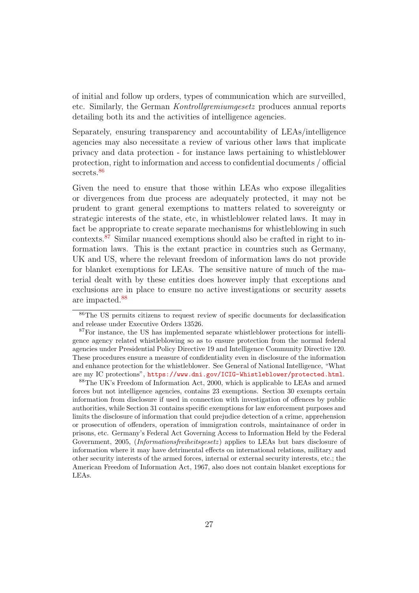of initial and follow up orders, types of communication which are surveilled, etc. Similarly, the German Kontrollgremiumgesetz produces annual reports detailing both its and the activities of intelligence agencies.

Separately, ensuring transparency and accountability of LEAs/intelligence agencies may also necessitate a review of various other laws that implicate privacy and data protection - for instance laws pertaining to whistleblower protection, right to information and access to confidential documents / official secrets.<sup>[86](#page-26-0)</sup>

Given the need to ensure that those within LEAs who expose illegalities or divergences from due process are adequately protected, it may not be prudent to grant general exemptions to matters related to sovereignty or strategic interests of the state, etc, in whistleblower related laws. It may in fact be appropriate to create separate mechanisms for whistleblowing in such contexts.[87](#page-26-1) Similar nuanced exemptions should also be crafted in right to information laws. This is the extant practice in countries such as Germany, UK and US, where the relevant freedom of information laws do not provide for blanket exemptions for LEAs. The sensitive nature of much of the material dealt with by these entities does however imply that exceptions and exclusions are in place to ensure no active investigations or security assets are impacted.[88](#page-26-2)

<span id="page-26-0"></span><sup>86</sup>The US permits citizens to request review of specific documents for declassification and release under Executive Orders 13526.

<span id="page-26-1"></span><sup>87</sup>For instance, the US has implemented separate whistleblower protections for intelligence agency related whistleblowing so as to ensure protection from the normal federal agencies under Presidential Policy Directive 19 and Intelligence Community Directive 120. These procedures ensure a measure of confidentiality even in disclosure of the information and enhance protection for the whistleblower. See General of National Intelligence, "What are my IC protections", <https://www.dni.gov/ICIG-Whistleblower/protected.html>.

<span id="page-26-2"></span><sup>88</sup>The UK's Freedom of Information Act, 2000, which is applicable to LEAs and armed forces but not intelligence agencies, contains 23 exemptions. Section 30 exempts certain information from disclosure if used in connection with investigation of offences by public authorities, while Section 31 contains specific exemptions for law enforcement purposes and limits the disclosure of information that could prejudice detection of a crime, apprehension or prosecution of offenders, operation of immigration controls, maintainance of order in prisons, etc. Germany's Federal Act Governing Access to Information Held by the Federal Government, 2005, (*Informationsfreiheitsgesetz*) applies to LEAs but bars disclosure of information where it may have detrimental effects on international relations, military and other security interests of the armed forces, internal or external security interests, etc.; the American Freedom of Information Act, 1967, also does not contain blanket exceptions for LEAs.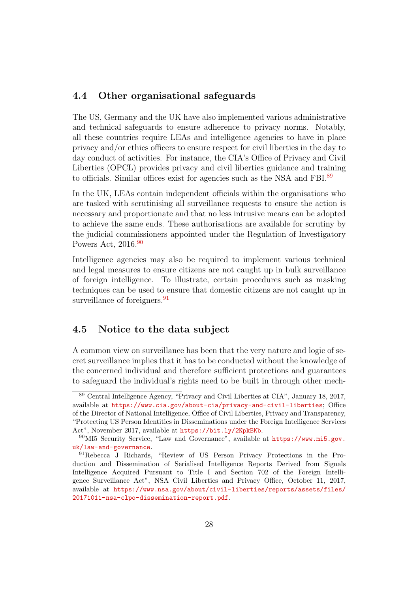#### <span id="page-27-0"></span>4.4 Other organisational safeguards

The US, Germany and the UK have also implemented various administrative and technical safeguards to ensure adherence to privacy norms. Notably, all these countries require LEAs and intelligence agencies to have in place privacy and/or ethics officers to ensure respect for civil liberties in the day to day conduct of activities. For instance, the CIA's Office of Privacy and Civil Liberties (OPCL) provides privacy and civil liberties guidance and training to officials. Similar offices exist for agencies such as the NSA and FBI.<sup>[89](#page-27-2)</sup>

In the UK, LEAs contain independent officials within the organisations who are tasked with scrutinising all surveillance requests to ensure the action is necessary and proportionate and that no less intrusive means can be adopted to achieve the same ends. These authorisations are available for scrutiny by the judicial commissioners appointed under the Regulation of Investigatory Powers Act, 2016.<sup>[90](#page-27-3)</sup>

Intelligence agencies may also be required to implement various technical and legal measures to ensure citizens are not caught up in bulk surveillance of foreign intelligence. To illustrate, certain procedures such as masking techniques can be used to ensure that domestic citizens are not caught up in surveillance of foreigners.<sup>[91](#page-27-4)</sup>

#### <span id="page-27-1"></span>4.5 Notice to the data subject

A common view on surveillance has been that the very nature and logic of secret surveillance implies that it has to be conducted without the knowledge of the concerned individual and therefore sufficient protections and guarantees to safeguard the individual's rights need to be built in through other mech-

<span id="page-27-2"></span><sup>89</sup> Central Intelligence Agency, "Privacy and Civil Liberties at CIA", January 18, 2017, available at <https://www.cia.gov/about-cia/privacy-and-civil-liberties>; Office of the Director of National Intelligence, Office of Civil Liberties, Privacy and Transparency, "Protecting US Person Identities in Disseminations under the Foreign Intelligence Services Act", November 2017, available at <https://bit.ly/2KpkBKb>.

<span id="page-27-3"></span><sup>90</sup>MI5 Security Service, "Law and Governance", available at [https://www.mi5.gov.](https://www.mi5.gov.uk/law-and-governance) [uk/law-and-governance](https://www.mi5.gov.uk/law-and-governance).

<span id="page-27-4"></span><sup>91</sup>Rebecca J Richards, "Review of US Person Privacy Protections in the Production and Dissemination of Serialised Intelligence Reports Derived from Signals Intelligence Acquired Pursuant to Title I and Section 702 of the Foreign Intelligence Surveillance Act", NSA Civil Liberties and Privacy Office, October 11, 2017, available at [https://www.nsa.gov/about/civil-liberties/reports/assets/files/](https://www.nsa.gov/about/civil-liberties/reports/assets/files/20171011-nsa-clpo-dissemination-report.pdf) [20171011-nsa-clpo-dissemination-report.pdf](https://www.nsa.gov/about/civil-liberties/reports/assets/files/20171011-nsa-clpo-dissemination-report.pdf).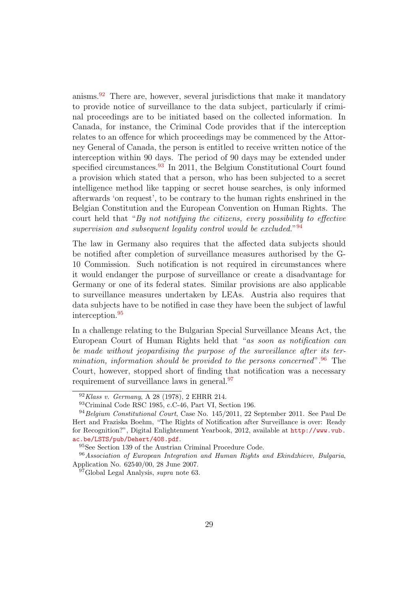anisms.<sup>[92](#page-28-0)</sup> There are, however, several jurisdictions that make it mandatory to provide notice of surveillance to the data subject, particularly if criminal proceedings are to be initiated based on the collected information. In Canada, for instance, the Criminal Code provides that if the interception relates to an offence for which proceedings may be commenced by the Attorney General of Canada, the person is entitled to receive written notice of the interception within 90 days. The period of 90 days may be extended under specified circumstances.<sup>[93](#page-28-1)</sup> In 2011, the Belgium Constitutional Court found a provision which stated that a person, who has been subjected to a secret intelligence method like tapping or secret house searches, is only informed afterwards 'on request', to be contrary to the human rights enshrined in the Belgian Constitution and the European Convention on Human Rights. The court held that "By not notifying the citizens, every possibility to effective supervision and subsequent legality control would be excluded."<sup>[94](#page-28-2)</sup>

The law in Germany also requires that the affected data subjects should be notified after completion of surveillance measures authorised by the G-10 Commission. Such notification is not required in circumstances where it would endanger the purpose of surveillance or create a disadvantage for Germany or one of its federal states. Similar provisions are also applicable to surveillance measures undertaken by LEAs. Austria also requires that data subjects have to be notified in case they have been the subject of lawful interception.[95](#page-28-3)

In a challenge relating to the Bulgarian Special Surveillance Means Act, the European Court of Human Rights held that "as soon as notification can be made without jeopardising the purpose of the surveillance after its termination, information should be provided to the persons concerned".  $96$  The Court, however, stopped short of finding that notification was a necessary requirement of surveillance laws in general.[97](#page-28-5)

<span id="page-28-0"></span> $92$  Klass v. Germany, A 28 (1978), 2 EHRR 214.

<span id="page-28-2"></span><span id="page-28-1"></span><sup>93</sup>Criminal Code RSC 1985, c.C-46, Part VI, Section 196.

<sup>94</sup>Belgium Constitutional Court, Case No. 145/2011, 22 September 2011. See Paul De Hert and Fraziska Boehm, "The Rights of Notification after Surveillance is over: Ready for Recognition?", Digital Enlightenment Yearbook, 2012, available at [http://www.vub.](http://www.vub.ac.be/LSTS/pub/Dehert/408.pdf) [ac.be/LSTS/pub/Dehert/408.pdf](http://www.vub.ac.be/LSTS/pub/Dehert/408.pdf).

<span id="page-28-4"></span><span id="page-28-3"></span><sup>95</sup>See Section 139 of the Austrian Criminal Procedure Code.

<sup>96</sup>Association of European Integration and Human Rights and Ekindzhievv, Bulgaria, Application No. 62540/00, 28 June 2007.

<span id="page-28-5"></span> $97G$ lobal Legal Analysis, supra note 63.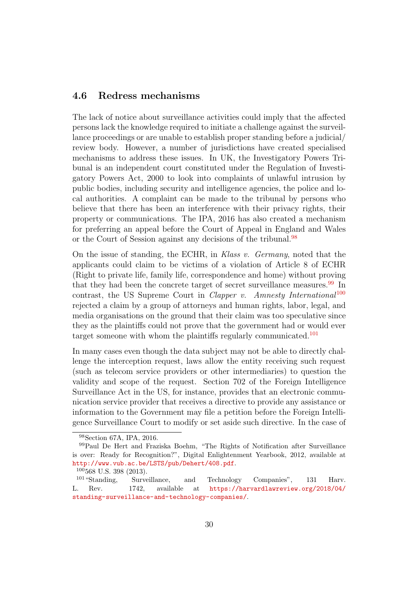#### <span id="page-29-0"></span>4.6 Redress mechanisms

The lack of notice about surveillance activities could imply that the affected persons lack the knowledge required to initiate a challenge against the surveillance proceedings or are unable to establish proper standing before a judicial/ review body. However, a number of jurisdictions have created specialised mechanisms to address these issues. In UK, the Investigatory Powers Tribunal is an independent court constituted under the Regulation of Investigatory Powers Act, 2000 to look into complaints of unlawful intrusion by public bodies, including security and intelligence agencies, the police and local authorities. A complaint can be made to the tribunal by persons who believe that there has been an interference with their privacy rights, their property or communications. The IPA, 2016 has also created a mechanism for preferring an appeal before the Court of Appeal in England and Wales or the Court of Session against any decisions of the tribunal.<sup>[98](#page-29-1)</sup>

On the issue of standing, the ECHR, in Klass v. Germany, noted that the applicants could claim to be victims of a violation of Article 8 of ECHR (Right to private life, family life, correspondence and home) without proving that they had been the concrete target of secret surveillance measures.<sup>[99](#page-29-2)</sup> In contrast, the US Supreme Court in *Clapper v.* Amnesty International<sup>[100](#page-29-3)</sup> rejected a claim by a group of attorneys and human rights, labor, legal, and media organisations on the ground that their claim was too speculative since they as the plaintiffs could not prove that the government had or would ever target someone with whom the plaintiffs regularly communicated.<sup>[101](#page-29-4)</sup>

In many cases even though the data subject may not be able to directly challenge the interception request, laws allow the entity receiving such request (such as telecom service providers or other intermediaries) to question the validity and scope of the request. Section 702 of the Foreign Intelligence Surveillance Act in the US, for instance, provides that an electronic communication service provider that receives a directive to provide any assistance or information to the Government may file a petition before the Foreign Intelligence Surveillance Court to modify or set aside such directive. In the case of

<span id="page-29-2"></span><span id="page-29-1"></span><sup>98</sup>Section 67A, IPA, 2016.

<sup>99</sup>Paul De Hert and Fraziska Boehm, "The Rights of Notification after Surveillance is over: Ready for Recognition?", Digital Enlightenment Yearbook, 2012, available at <http://www.vub.ac.be/LSTS/pub/Dehert/408.pdf>.

<span id="page-29-4"></span><span id="page-29-3"></span> $100568$  U.S. 398 (2013).

<sup>101</sup>"Standing, Surveillance, and Technology Companies", 131 Harv. L. Rev. 1742, available at [https://harvardlawreview.org/2018/04/](https://harvardlawreview.org/2018/04/standing-surveillance-and-technology-companies/) [standing-surveillance-and-technology-companies/](https://harvardlawreview.org/2018/04/standing-surveillance-and-technology-companies/).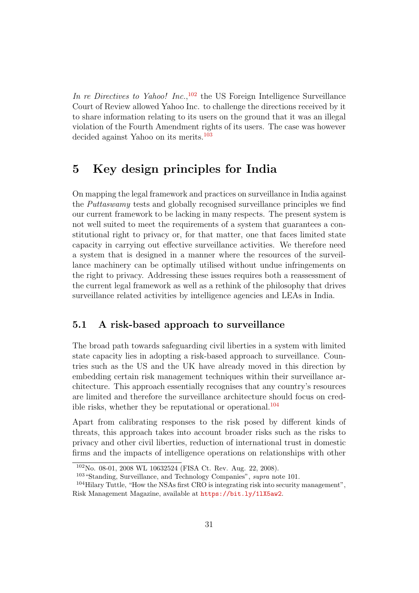In re Directives to Yahoo! Inc.,  $^{102}$  $^{102}$  $^{102}$  the US Foreign Intelligence Surveillance Court of Review allowed Yahoo Inc. to challenge the directions received by it to share information relating to its users on the ground that it was an illegal violation of the Fourth Amendment rights of its users. The case was however decided against Yahoo on its merits.<sup>[103](#page-30-3)</sup>

## <span id="page-30-0"></span>5 Key design principles for India

On mapping the legal framework and practices on surveillance in India against the Puttaswamy tests and globally recognised surveillance principles we find our current framework to be lacking in many respects. The present system is not well suited to meet the requirements of a system that guarantees a constitutional right to privacy or, for that matter, one that faces limited state capacity in carrying out effective surveillance activities. We therefore need a system that is designed in a manner where the resources of the surveillance machinery can be optimally utilised without undue infringements on the right to privacy. Addressing these issues requires both a reassessment of the current legal framework as well as a rethink of the philosophy that drives surveillance related activities by intelligence agencies and LEAs in India.

#### <span id="page-30-1"></span>5.1 A risk-based approach to surveillance

The broad path towards safeguarding civil liberties in a system with limited state capacity lies in adopting a risk-based approach to surveillance. Countries such as the US and the UK have already moved in this direction by embedding certain risk management techniques within their surveillance architecture. This approach essentially recognises that any country's resources are limited and therefore the surveillance architecture should focus on cred-ible risks, whether they be reputational or operational.<sup>[104](#page-30-4)</sup>

Apart from calibrating responses to the risk posed by different kinds of threats, this approach takes into account broader risks such as the risks to privacy and other civil liberties, reduction of international trust in domestic firms and the impacts of intelligence operations on relationships with other

<span id="page-30-2"></span><sup>102</sup>No. 08-01, 2008 WL 10632524 (FISA Ct. Rev. Aug. 22, 2008).

<span id="page-30-4"></span><span id="page-30-3"></span><sup>103</sup>"Standing, Surveillance, and Technology Companies", supra note 101.

<sup>104</sup>Hilary Tuttle, "How the NSAs first CRO is integrating risk into security management", Risk Management Magazine, available at <https://bit.ly/1lX5aw2>.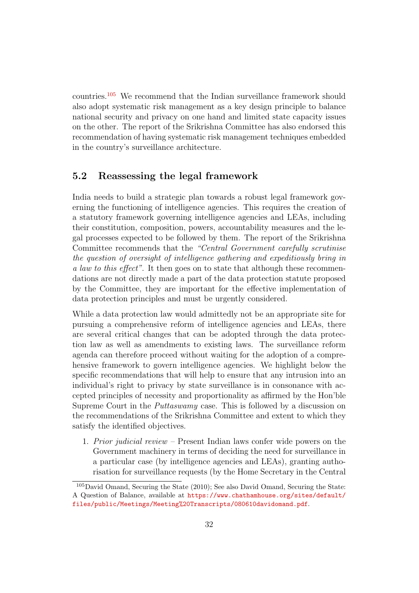countries.[105](#page-31-1) We recommend that the Indian surveillance framework should also adopt systematic risk management as a key design principle to balance national security and privacy on one hand and limited state capacity issues on the other. The report of the Srikrishna Committee has also endorsed this recommendation of having systematic risk management techniques embedded in the country's surveillance architecture.

#### <span id="page-31-0"></span>5.2 Reassessing the legal framework

India needs to build a strategic plan towards a robust legal framework governing the functioning of intelligence agencies. This requires the creation of a statutory framework governing intelligence agencies and LEAs, including their constitution, composition, powers, accountability measures and the legal processes expected to be followed by them. The report of the Srikrishna Committee recommends that the "Central Government carefully scrutinise the question of oversight of intelligence gathering and expeditiously bring in a law to this effect". It then goes on to state that although these recommendations are not directly made a part of the data protection statute proposed by the Committee, they are important for the effective implementation of data protection principles and must be urgently considered.

While a data protection law would admittedly not be an appropriate site for pursuing a comprehensive reform of intelligence agencies and LEAs, there are several critical changes that can be adopted through the data protection law as well as amendments to existing laws. The surveillance reform agenda can therefore proceed without waiting for the adoption of a comprehensive framework to govern intelligence agencies. We highlight below the specific recommendations that will help to ensure that any intrusion into an individual's right to privacy by state surveillance is in consonance with accepted principles of necessity and proportionality as affirmed by the Hon'ble Supreme Court in the Puttaswamy case. This is followed by a discussion on the recommendations of the Srikrishna Committee and extent to which they satisfy the identified objectives.

1. Prior judicial review – Present Indian laws confer wide powers on the Government machinery in terms of deciding the need for surveillance in a particular case (by intelligence agencies and LEAs), granting authorisation for surveillance requests (by the Home Secretary in the Central

<span id="page-31-1"></span><sup>105</sup>David Omand, Securing the State (2010); See also David Omand, Securing the State: A Question of Balance, available at [https://www.chathamhouse.org/sites/default/](https://www.chathamhouse.org/sites/default/files/public/Meetings/Meeting%20Transcripts/080610davidomand.pdf) [files/public/Meetings/Meeting%20Transcripts/080610davidomand.pdf](https://www.chathamhouse.org/sites/default/files/public/Meetings/Meeting%20Transcripts/080610davidomand.pdf).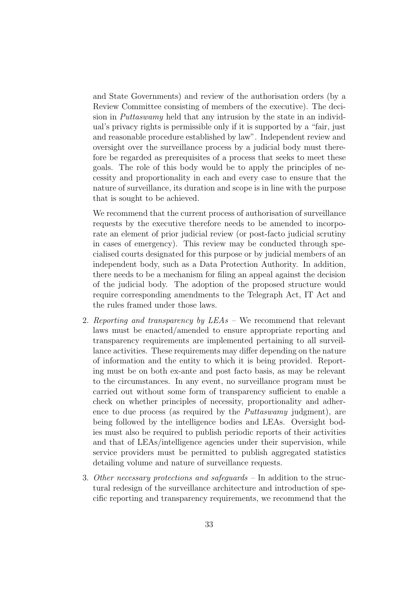and State Governments) and review of the authorisation orders (by a Review Committee consisting of members of the executive). The decision in Puttaswamy held that any intrusion by the state in an individual's privacy rights is permissible only if it is supported by a "fair, just and reasonable procedure established by law". Independent review and oversight over the surveillance process by a judicial body must therefore be regarded as prerequisites of a process that seeks to meet these goals. The role of this body would be to apply the principles of necessity and proportionality in each and every case to ensure that the nature of surveillance, its duration and scope is in line with the purpose that is sought to be achieved.

We recommend that the current process of authorisation of surveillance requests by the executive therefore needs to be amended to incorporate an element of prior judicial review (or post-facto judicial scrutiny in cases of emergency). This review may be conducted through specialised courts designated for this purpose or by judicial members of an independent body, such as a Data Protection Authority. In addition, there needs to be a mechanism for filing an appeal against the decision of the judicial body. The adoption of the proposed structure would require corresponding amendments to the Telegraph Act, IT Act and the rules framed under those laws.

- 2. Reporting and transparency by LEAs We recommend that relevant laws must be enacted/amended to ensure appropriate reporting and transparency requirements are implemented pertaining to all surveillance activities. These requirements may differ depending on the nature of information and the entity to which it is being provided. Reporting must be on both ex-ante and post facto basis, as may be relevant to the circumstances. In any event, no surveillance program must be carried out without some form of transparency sufficient to enable a check on whether principles of necessity, proportionality and adherence to due process (as required by the Puttaswamy judgment), are being followed by the intelligence bodies and LEAs. Oversight bodies must also be required to publish periodic reports of their activities and that of LEAs/intelligence agencies under their supervision, while service providers must be permitted to publish aggregated statistics detailing volume and nature of surveillance requests.
- 3. Other necessary protections and safeguards In addition to the structural redesign of the surveillance architecture and introduction of specific reporting and transparency requirements, we recommend that the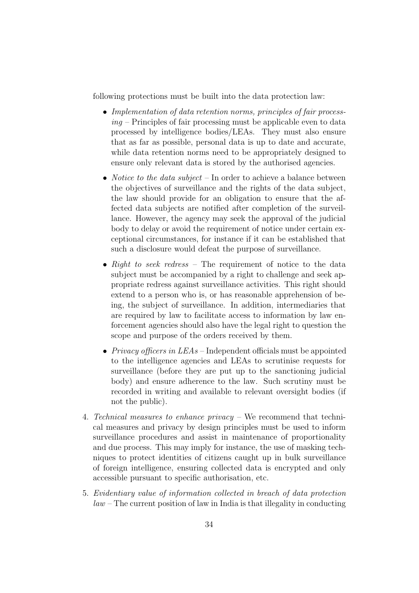following protections must be built into the data protection law:

- Implementation of data retention norms, principles of fair process $inq$  – Principles of fair processing must be applicable even to data processed by intelligence bodies/LEAs. They must also ensure that as far as possible, personal data is up to date and accurate, while data retention norms need to be appropriately designed to ensure only relevant data is stored by the authorised agencies.
- *Notice to the data subject* In order to achieve a balance between the objectives of surveillance and the rights of the data subject, the law should provide for an obligation to ensure that the affected data subjects are notified after completion of the surveillance. However, the agency may seek the approval of the judicial body to delay or avoid the requirement of notice under certain exceptional circumstances, for instance if it can be established that such a disclosure would defeat the purpose of surveillance.
- Right to seek redress The requirement of notice to the data subject must be accompanied by a right to challenge and seek appropriate redress against surveillance activities. This right should extend to a person who is, or has reasonable apprehension of being, the subject of surveillance. In addition, intermediaries that are required by law to facilitate access to information by law enforcement agencies should also have the legal right to question the scope and purpose of the orders received by them.
- Privacy officers in  $LEAs$  Independent officials must be appointed to the intelligence agencies and LEAs to scrutinise requests for surveillance (before they are put up to the sanctioning judicial body) and ensure adherence to the law. Such scrutiny must be recorded in writing and available to relevant oversight bodies (if not the public).
- 4. Technical measures to enhance privacy We recommend that technical measures and privacy by design principles must be used to inform surveillance procedures and assist in maintenance of proportionality and due process. This may imply for instance, the use of masking techniques to protect identities of citizens caught up in bulk surveillance of foreign intelligence, ensuring collected data is encrypted and only accessible pursuant to specific authorisation, etc.
- 5. Evidentiary value of information collected in breach of data protection  $law$  – The current position of law in India is that illegality in conducting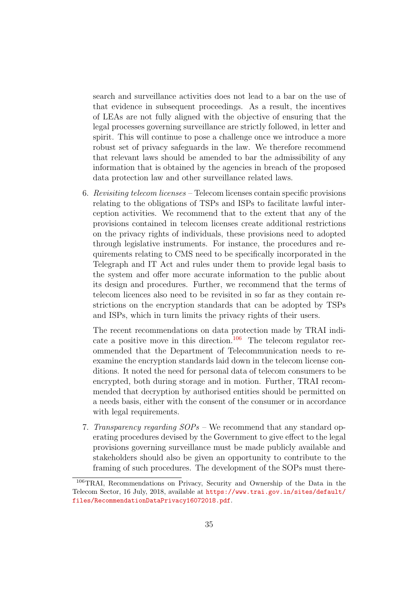search and surveillance activities does not lead to a bar on the use of that evidence in subsequent proceedings. As a result, the incentives of LEAs are not fully aligned with the objective of ensuring that the legal processes governing surveillance are strictly followed, in letter and spirit. This will continue to pose a challenge once we introduce a more robust set of privacy safeguards in the law. We therefore recommend that relevant laws should be amended to bar the admissibility of any information that is obtained by the agencies in breach of the proposed data protection law and other surveillance related laws.

6. Revisiting telecom licenses – Telecom licenses contain specific provisions relating to the obligations of TSPs and ISPs to facilitate lawful interception activities. We recommend that to the extent that any of the provisions contained in telecom licenses create additional restrictions on the privacy rights of individuals, these provisions need to adopted through legislative instruments. For instance, the procedures and requirements relating to CMS need to be specifically incorporated in the Telegraph and IT Act and rules under them to provide legal basis to the system and offer more accurate information to the public about its design and procedures. Further, we recommend that the terms of telecom licences also need to be revisited in so far as they contain restrictions on the encryption standards that can be adopted by TSPs and ISPs, which in turn limits the privacy rights of their users.

The recent recommendations on data protection made by TRAI indi-cate a positive move in this direction.<sup>[106](#page-34-0)</sup> The telecom regulator recommended that the Department of Telecommunication needs to reexamine the encryption standards laid down in the telecom license conditions. It noted the need for personal data of telecom consumers to be encrypted, both during storage and in motion. Further, TRAI recommended that decryption by authorised entities should be permitted on a needs basis, either with the consent of the consumer or in accordance with legal requirements.

7. Transparency regarding SOPs – We recommend that any standard operating procedures devised by the Government to give effect to the legal provisions governing surveillance must be made publicly available and stakeholders should also be given an opportunity to contribute to the framing of such procedures. The development of the SOPs must there-

<span id="page-34-0"></span><sup>106</sup>TRAI, Recommendations on Privacy, Security and Ownership of the Data in the Telecom Sector, 16 July, 2018, available at [https://www.trai.gov.in/sites/default/](https://www.trai.gov.in/sites/default/files/RecommendationDataPrivacy16072018.pdf) [files/RecommendationDataPrivacy16072018.pdf](https://www.trai.gov.in/sites/default/files/RecommendationDataPrivacy16072018.pdf).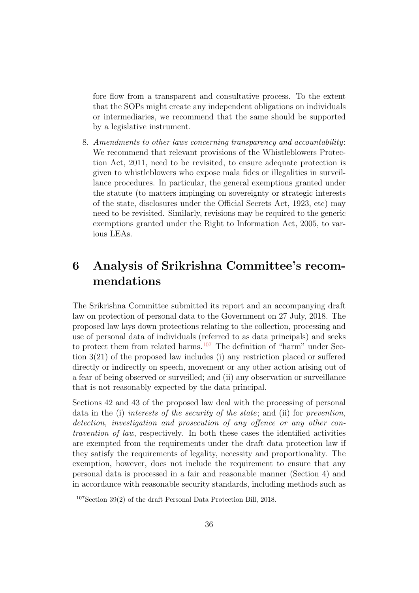fore flow from a transparent and consultative process. To the extent that the SOPs might create any independent obligations on individuals or intermediaries, we recommend that the same should be supported by a legislative instrument.

8. Amendments to other laws concerning transparency and accountability: We recommend that relevant provisions of the Whistleblowers Protection Act, 2011, need to be revisited, to ensure adequate protection is given to whistleblowers who expose mala fides or illegalities in surveillance procedures. In particular, the general exemptions granted under the statute (to matters impinging on sovereignty or strategic interests of the state, disclosures under the Official Secrets Act, 1923, etc) may need to be revisited. Similarly, revisions may be required to the generic exemptions granted under the Right to Information Act, 2005, to various LEAs.

## <span id="page-35-0"></span>6 Analysis of Srikrishna Committee's recommendations

The Srikrishna Committee submitted its report and an accompanying draft law on protection of personal data to the Government on 27 July, 2018. The proposed law lays down protections relating to the collection, processing and use of personal data of individuals (referred to as data principals) and seeks to protect them from related harms.<sup>[107](#page-35-1)</sup> The definition of "harm" under Section 3(21) of the proposed law includes (i) any restriction placed or suffered directly or indirectly on speech, movement or any other action arising out of a fear of being observed or surveilled; and (ii) any observation or surveillance that is not reasonably expected by the data principal.

Sections 42 and 43 of the proposed law deal with the processing of personal data in the (i) interests of the security of the state; and (ii) for prevention, detection, investigation and prosecution of any offence or any other contravention of law, respectively. In both these cases the identified activities are exempted from the requirements under the draft data protection law if they satisfy the requirements of legality, necessity and proportionality. The exemption, however, does not include the requirement to ensure that any personal data is processed in a fair and reasonable manner (Section 4) and in accordance with reasonable security standards, including methods such as

<span id="page-35-1"></span><sup>107</sup>Section 39(2) of the draft Personal Data Protection Bill, 2018.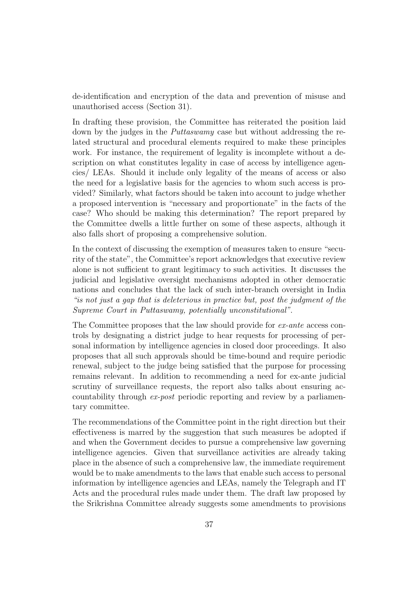de-identification and encryption of the data and prevention of misuse and unauthorised access (Section 31).

In drafting these provision, the Committee has reiterated the position laid down by the judges in the Puttaswamy case but without addressing the related structural and procedural elements required to make these principles work. For instance, the requirement of legality is incomplete without a description on what constitutes legality in case of access by intelligence agencies/ LEAs. Should it include only legality of the means of access or also the need for a legislative basis for the agencies to whom such access is provided? Similarly, what factors should be taken into account to judge whether a proposed intervention is "necessary and proportionate" in the facts of the case? Who should be making this determination? The report prepared by the Committee dwells a little further on some of these aspects, although it also falls short of proposing a comprehensive solution.

In the context of discussing the exemption of measures taken to ensure "security of the state", the Committee's report acknowledges that executive review alone is not sufficient to grant legitimacy to such activities. It discusses the judicial and legislative oversight mechanisms adopted in other democratic nations and concludes that the lack of such inter-branch oversight in India "is not just a gap that is deleterious in practice but, post the judgment of the Supreme Court in Puttaswamy, potentially unconstitutional".

The Committee proposes that the law should provide for *ex-ante* access controls by designating a district judge to hear requests for processing of personal information by intelligence agencies in closed door proceedings. It also proposes that all such approvals should be time-bound and require periodic renewal, subject to the judge being satisfied that the purpose for processing remains relevant. In addition to recommending a need for ex-ante judicial scrutiny of surveillance requests, the report also talks about ensuring accountability through ex-post periodic reporting and review by a parliamentary committee.

The recommendations of the Committee point in the right direction but their effectiveness is marred by the suggestion that such measures be adopted if and when the Government decides to pursue a comprehensive law governing intelligence agencies. Given that surveillance activities are already taking place in the absence of such a comprehensive law, the immediate requirement would be to make amendments to the laws that enable such access to personal information by intelligence agencies and LEAs, namely the Telegraph and IT Acts and the procedural rules made under them. The draft law proposed by the Srikrishna Committee already suggests some amendments to provisions